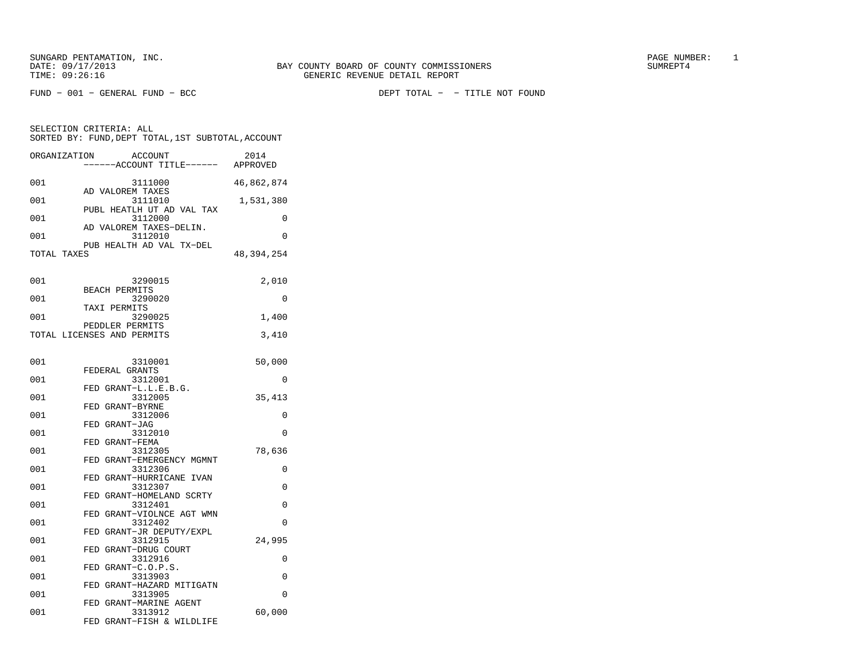FUND − 001 − GENERAL FUND − BCC DEPT TOTAL − − TITLE NOT FOUND

| SELECTION CRITERIA: ALL |  |  |                                                    |  |
|-------------------------|--|--|----------------------------------------------------|--|
|                         |  |  | SORTED BY: FUND, DEPT TOTAL, 1ST SUBTOTAL, ACCOUNT |  |

| ORGANIZATION | <b>ACCOUNT</b><br>---ACCOUNT TITLE------       | 2014<br>APPROVED |
|--------------|------------------------------------------------|------------------|
| 001          | 3111000<br>AD VALOREM TAXES                    | 46,862,874       |
| 001          | 3111010<br>PUBL HEATLH UT AD VAL TAX           | 1,531,380        |
| 001          | 3112000<br>AD VALOREM TAXES-DELIN.             | 0                |
| 001          | 3112010<br>PUB HEALTH AD VAL TX-DEL            | $\Omega$         |
| TOTAL TAXES  |                                                | 48, 394, 254     |
| 001          | 3290015                                        | 2,010            |
| 001          | BEACH PERMITS<br>3290020                       | $\Omega$         |
| 001          | TAXI PERMITS<br>3290025                        | 1,400            |
|              | PEDDLER PERMITS<br>TOTAL LICENSES AND PERMITS  | 3,410            |
| 001          | 3310001                                        | 50,000           |
| 001          | FEDERAL GRANTS<br>3312001                      | $\Omega$         |
| 001          | FED GRANT-L.L.E.B.G.<br>3312005                | 35,413           |
| 001          | FED GRANT-BYRNE<br>3312006                     | 0                |
| 001          | FED GRANT-JAG<br>3312010                       | 0                |
| 001          | FED GRANT-FEMA<br>3312305                      | 78,636           |
| 001          | FED GRANT-EMERGENCY MGMNT                      | 0                |
| 001          | 3312306<br>FED GRANT-HURRICANE IVAN<br>3312307 | 0                |
| 001          | FED GRANT-HOMELAND SCRTY<br>3312401            | 0                |
| 001          | FED GRANT-VIOLNCE AGT WMN<br>3312402           | $\Omega$         |
|              | FED GRANT-JR DEPUTY/EXPL                       |                  |
| 001          | 3312915<br>FED GRANT-DRUG COURT                | 24,995           |
| 001          | 3312916<br>FED GRANT-C.O.P.S.                  | 0                |
| 001          | 3313903<br>FED GRANT-HAZARD MITIGATN           | 0                |
| 001          | 3313905<br>FED GRANT-MARINE AGENT              | 0                |
| 001          | 3313912<br>FED GRANT-FISH & WILDLIFE           | 60,000           |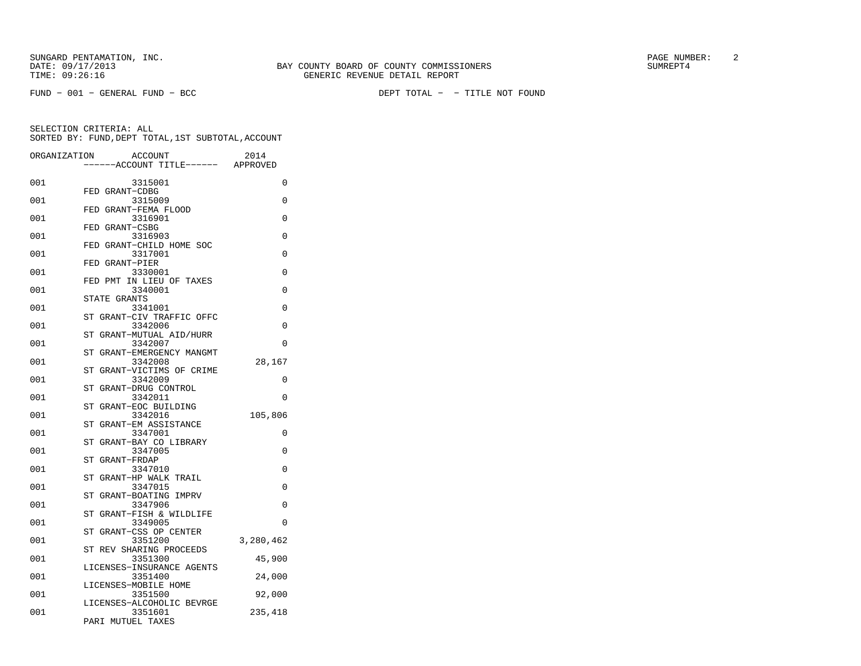| ORGANIZATION | <b>ACCOUNT</b>                               | 2014      |
|--------------|----------------------------------------------|-----------|
|              | ---ACCOUNT TITLE------ APPROVED              |           |
| 001          | 3315001                                      | 0         |
|              | FED GRANT-CDBG                               |           |
| 001          | 3315009<br>FED GRANT-FEMA FLOOD              | 0         |
| 001          | 3316901                                      | $\Omega$  |
|              | FED GRANT-CSBG                               |           |
| 001          | 3316903                                      | 0         |
| 001          | FED GRANT-CHILD HOME SOC<br>3317001          | 0         |
|              | GRANT-PIER<br>FED                            |           |
| 001          | 3330001                                      | 0         |
|              | FED PMT IN LIEU OF TAXES                     |           |
| 001          | 3340001                                      | 0         |
| 001          | STATE GRANTS<br>3341001                      | 0         |
|              | ST GRANT-CIV TRAFFIC OFFC                    |           |
| 001          | 3342006                                      | 0         |
|              | GRANT-MUTUAL AID/HURR<br>SТ                  |           |
| 001          | 3342007<br>GRANT-EMERGENCY MANGMT<br>SТ      | 0         |
| 001          | 3342008                                      | 28,167    |
|              | GRANT-VICTIMS OF CRIME<br>ST                 |           |
| 001          | 3342009                                      | 0         |
|              | GRANT-DRUG CONTROL<br>ST                     |           |
| 001          | 3342011<br>GRANT-EOC BUILDING<br>ST          | 0         |
| 001          | 3342016                                      | 105,806   |
|              | GRANT-EM ASSISTANCE<br>ST                    |           |
| 001          | 3347001                                      | 0         |
| 001          | GRANT-BAY CO LIBRARY<br><b>ST</b><br>3347005 | $\Omega$  |
|              | ST<br>GRANT-FRDAP                            |           |
| 001          | 3347010                                      | $\Omega$  |
|              | GRANT-HP WALK TRAIL<br>ST                    |           |
| 001          | 3347015                                      | 0         |
| 001          | ST<br>GRANT-BOATING IMPRV<br>3347906         | $\Omega$  |
|              | ST<br>GRANT-FISH & WILDLIFE                  |           |
| 001          | 3349005                                      | 0         |
|              | GRANT-CSS OP CENTER<br>SТ                    |           |
| 001          | 3351200<br>ST REV SHARING PROCEEDS           | 3,280,462 |
| 001          | 3351300                                      | 45,900    |
|              | LICENSES-INSURANCE AGENTS                    |           |
| 001          | 3351400                                      | 24,000    |
|              | LICENSES-MOBILE HOME                         |           |
| 001          | 3351500<br>LICENSES-ALCOHOLIC BEVRGE         | 92,000    |
| 001          | 3351601                                      | 235,418   |
|              | PARI MUTUEL TAXES                            |           |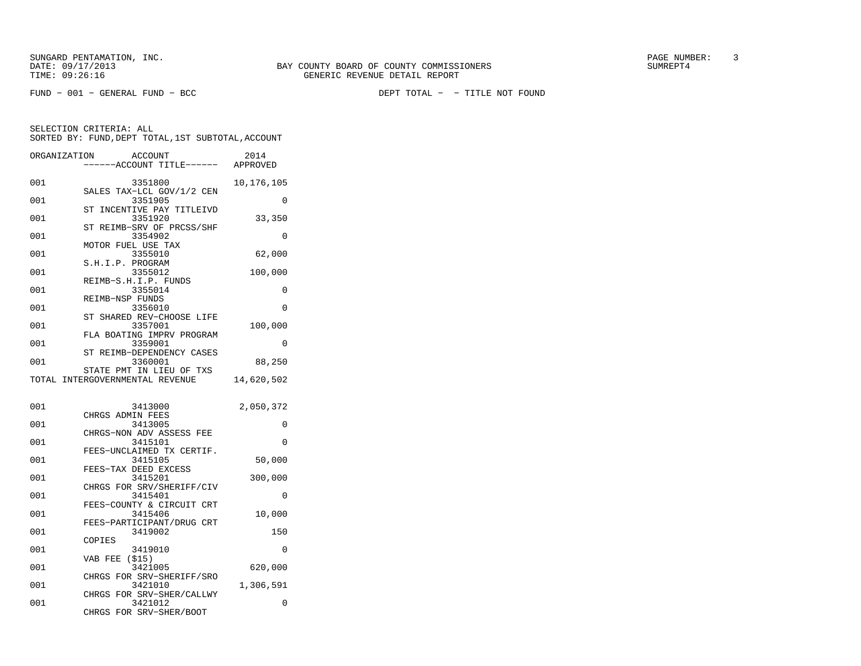FUND − 001 − GENERAL FUND − BCC DEPT TOTAL − − TITLE NOT FOUND

SELECTION CRITERIA: ALL

| ORGANIZATION | ACCOUNT<br>----ACCOUNT TITLE------ APPROVED                             | 2014       |
|--------------|-------------------------------------------------------------------------|------------|
| 001          | 3351800                                                                 | 10,176,105 |
| 001          | SALES TAX-LCL GOV/1/2 CEN<br>3351905                                    | $\Omega$   |
| 001          | ST<br>INCENTIVE PAY TITLEIVD<br>3351920                                 | 33,350     |
| 001          | REIMB-SRV OF PRCSS/SHF<br>ST<br>3354902                                 | $\Omega$   |
| 001          | MOTOR FUEL USE TAX<br>3355010                                           | 62,000     |
| 001          | S.H.I.P. PROGRAM<br>3355012                                             | 100,000    |
| 001          | REIMB-S.H.I.P. FUNDS<br>3355014                                         | $\Omega$   |
| 001          | REIMB-NSP FUNDS<br>3356010                                              | 0          |
| 001          | ST SHARED REV-CHOOSE LIFE<br>3357001                                    |            |
|              | FLA BOATING IMPRV PROGRAM                                               | 100,000    |
| 001          | 3359001<br>REIMB-DEPENDENCY CASES<br>ST                                 | 0          |
| 001          | 3360001<br>STATE PMT IN LIEU OF TXS                                     | 88,250     |
|              | TOTAL INTERGOVERNMENTAL REVENUE                                         | 14,620,502 |
| 001          | 3413000                                                                 |            |
|              |                                                                         | 2,050,372  |
|              | CHRGS ADMIN FEES                                                        |            |
| 001          | 3413005<br>CHRGS-NON ADV ASSESS FEE                                     | 0          |
| 001          | 3415101<br>FEES-UNCLAIMED TX CERTIF.                                    | $\Omega$   |
| 001          | 3415105<br>FEES-TAX DEED EXCESS                                         | 50,000     |
| 001          | 3415201<br>CHRGS FOR SRV/SHERIFF/CIV                                    | 300,000    |
| 001          | 3415401<br>FEES-COUNTY & CIRCUIT CRT                                    | 0          |
| 001          | 3415406<br>FEES-PARTICIPANT/DRUG CRT                                    | 10,000     |
| 001          | 3419002                                                                 | 150        |
| 001          | COPIES<br>3419010                                                       | $\Omega$   |
| 001          | VAB FEE<br>(\$15)<br>3421005                                            | 620,000    |
| 001          | FOR SRV-SHERIFF/SRO<br>CHRGS<br>3421010<br>FOR SRV-SHER/CALLWY<br>CHRGS | 1,306,591  |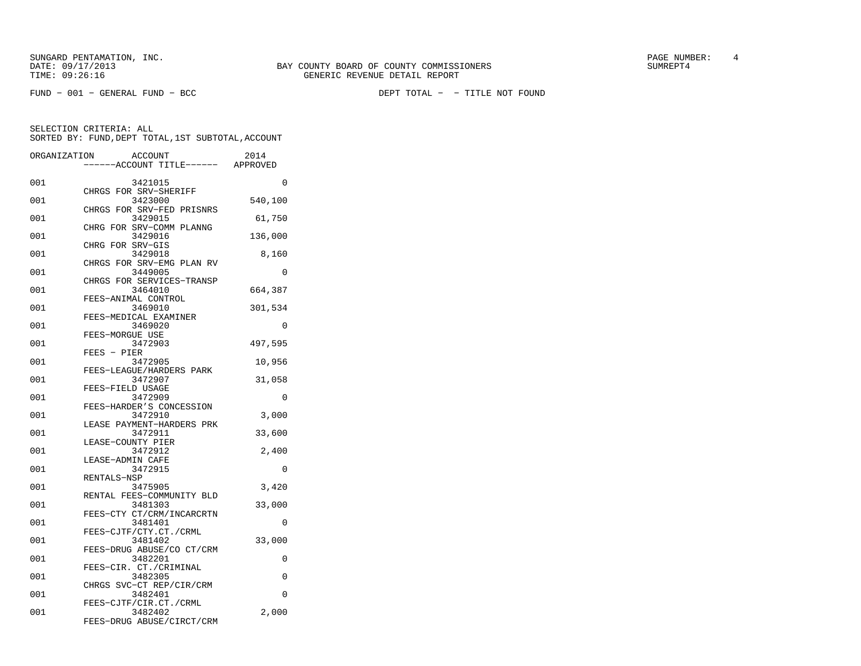SUNGARD PENTAMATION, INC.<br>
BAY COUNTY BOARD OF COUNTY COMMISSIONERS AND SUNREPT4 SUMREPT4

FUND − 001 − GENERAL FUND − BCC DEPT TOTAL − − TITLE NOT FOUND

| ORGANIZATION | <b>ACCOUNT</b>                       | 2014     |
|--------------|--------------------------------------|----------|
|              | ---ACCOUNT TITLE------ APPROVED      |          |
| 001          | 3421015<br>CHRGS FOR SRV-SHERIFF     | 0        |
| 001          | 3423000<br>CHRGS FOR SRV-FED PRISNRS | 540,100  |
| 001          | 3429015                              | 61,750   |
| 001          | CHRG FOR SRV-COMM PLANNG<br>3429016  | 136,000  |
| 001          | CHRG FOR SRV-GIS<br>3429018          | 8,160    |
| 001          | CHRGS FOR SRV-EMG PLAN RV<br>3449005 | 0        |
| 001          | CHRGS FOR SERVICES-TRANSP<br>3464010 | 664,387  |
| 001          | FEES-ANIMAL CONTROL<br>3469010       | 301,534  |
| 001          | FEES-MEDICAL EXAMINER<br>3469020     | 0        |
| 001          | FEES-MORGUE USE<br>3472903           | 497,595  |
| 001          | $FEES - PIER$<br>3472905             | 10,956   |
| 001          | FEES-LEAGUE/HARDERS PARK<br>3472907  | 31,058   |
| 001          | FEES-FIELD USAGE<br>3472909          | 0        |
| 001          | FEES-HARDER'S CONCESSION<br>3472910  | 3,000    |
| 001          | LEASE PAYMENT-HARDERS PRK<br>3472911 | 33,600   |
| 001          | LEASE-COUNTY PIER<br>3472912         | 2,400    |
| 001          | LEASE-ADMIN CAFE<br>3472915          | $\Omega$ |
| 001          | RENTALS-NSP<br>3475905               | 3,420    |
| 001          | RENTAL FEES-COMMUNITY BLD<br>3481303 | 33,000   |
| 001          | FEES-CTY CT/CRM/INCARCRTN<br>3481401 | 0        |
| 001          | FEES-CJTF/CTY.CT./CRML<br>3481402    | 33,000   |
| 001          | FEES-DRUG ABUSE/CO CT/CRM<br>3482201 | 0        |
| 001          | FEES-CIR. CT./CRIMINAL<br>3482305    | 0        |
| 001          | CHRGS SVC-CT REP/CIR/CRM             | $\Omega$ |
|              | 3482401<br>FEES-CJTF/CIR.CT./CRML    |          |
| 001          | 3482402<br>FEES-DRUG ABUSE/CIRCT/CRM | 2,000    |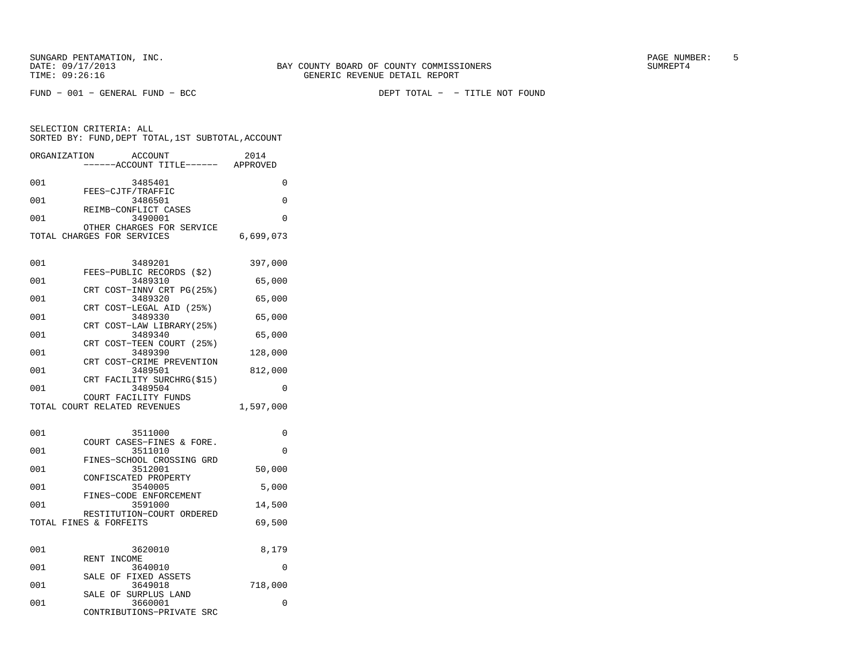SELECTION CRITERIA: ALL

| ORGANIZATION | ACCOUNT<br>------ACCOUNT TITLE------ | 2014<br>APPROVED |
|--------------|--------------------------------------|------------------|
| 001          | 3485401                              |                  |
| 001          | FEES-CJTF/TRAFFIC<br>3486501         |                  |
| 001          | REIMB-CONFLICT CASES<br>3490001      |                  |
|              | OTHER CHARGES FOR SERVICE            |                  |

SORTED BY: FUND,DEPT TOTAL,1ST SUBTOTAL,ACCOUNT

TOTAL CHARGES FOR SERVICES 6,699,073

| 001 | 3489201                                             | 397,000   |
|-----|-----------------------------------------------------|-----------|
| 001 | FEES-PUBLIC RECORDS (\$2)<br>3489310                | 65,000    |
| 001 | CRT COST-INNV CRT PG(25%)<br>3489320                | 65,000    |
| 001 | CRT COST-LEGAL AID (25%)<br>3489330                 | 65,000    |
| 001 | CRT COST-LAW LIBRARY (25%)<br>3489340               | 65,000    |
| 001 | CRT COST-TEEN COURT (25%)<br>3489390                | 128,000   |
|     | CRT COST-CRIME PREVENTION                           |           |
| 001 | 3489501<br>CRT FACILITY SURCHRG(\$15)               | 812,000   |
| 001 | 3489504<br>COURT FACILITY FUNDS                     | $\Omega$  |
|     | TOTAL COURT RELATED REVENUES                        | 1,597,000 |
|     |                                                     |           |
|     |                                                     |           |
| 001 | 3511000<br>COURT CASES-FINES & FORE.                | 0         |
| 001 | 3511010                                             | $\Omega$  |
| 001 | FINES-SCHOOL CROSSING GRD<br>3512001                | 50,000    |
| 001 | CONFISCATED PROPERTY<br>3540005                     | 5,000     |
| 001 | FINES-CODE ENFORCEMENT<br>3591000                   | 14,500    |
|     | RESTITUTION-COURT ORDERED<br>TOTAL FINES & FORFEITS | 69,500    |
|     |                                                     |           |
| 001 | 3620010                                             | 8,179     |
| 001 | RENT INCOME<br>3640010<br>SALE OF FIXED ASSETS      | $\Omega$  |

 SALE OF SURPLUS LAND001 3660001 0 CONTRIBUTIONS−PRIVATE SRC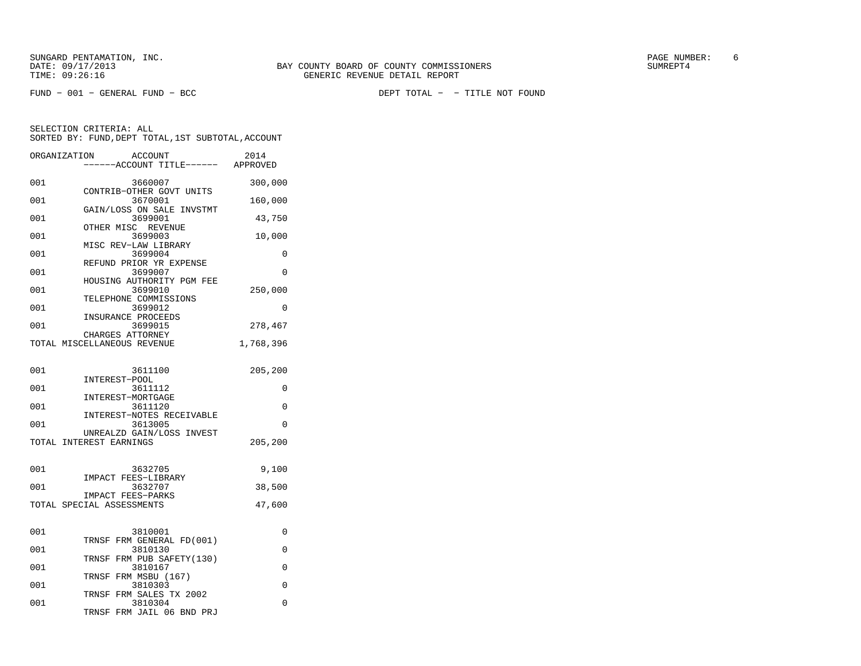FUND − 001 − GENERAL FUND − BCC DEPT TOTAL − − TITLE NOT FOUND

SELECTION CRITERIA: ALL

|              | SORTED BY: FUND,DEPT TOTAL,1ST SUBTOTAL,ACCOUNT                    |           |
|--------------|--------------------------------------------------------------------|-----------|
| ORGANIZATION | ACCOUNT<br>----ACCOUNT TITLE------ APPROVED                        | 2014      |
| 001          | 3660007                                                            | 300,000   |
| 001          | CONTRIB-OTHER GOVT UNITS<br>3670001                                | 160,000   |
| 001          | GAIN/LOSS ON SALE INVSTMT<br>3699001                               | 43,750    |
| 001          | OTHER MISC REVENUE<br>3699003                                      | 10,000    |
| 001          | MISC REV-LAW LIBRARY<br>3699004                                    | 0         |
| 001          | REFUND PRIOR YR EXPENSE<br>3699007                                 | $\Omega$  |
| 001          | HOUSING AUTHORITY PGM FEE<br>3699010                               | 250,000   |
| 001          | TELEPHONE COMMISSIONS<br>3699012                                   | $\Omega$  |
| 001          | INSURANCE PROCEEDS<br>3699015                                      | 278,467   |
|              | CHARGES ATTORNEY<br>TOTAL MISCELLANEOUS REVENUE                    | 1,768,396 |
|              |                                                                    |           |
| 001          | 3611100<br>INTEREST-POOL                                           | 205,200   |
| 001          | 3611112<br>INTEREST-MORTGAGE                                       | 0         |
| 001          | 3611120<br>INTEREST-NOTES RECEIVABLE                               | 0         |
| 001          | 3613005<br>UNREALZD GAIN/LOSS INVEST                               | 0         |
|              | TOTAL INTEREST EARNINGS                                            | 205,200   |
| 001          | 3632705                                                            | 9,100     |
| 001          | IMPACT FEES-LIBRARY<br>3632707                                     | 38,500    |
|              | IMPACT FEES-PARKS<br>TOTAL SPECIAL ASSESSMENTS                     | 47,600    |
|              |                                                                    |           |
| 001          | 3810001<br>TRNSF FRM GENERAL FD(001)                               | 0         |
| 001          | 3810130<br>TRNSF<br>FRM PUB SAFETY(130)                            | $\Omega$  |
| 001          | 3810167                                                            | 0         |
| 001          | TRNSF FRM MSBU (167)<br>3810303                                    | 0         |
| 001          | TRNSF FRM SALES TX 2002<br>3810304<br>TRNSF<br>FRM JAIL 06 BND PRJ | 0         |
|              |                                                                    |           |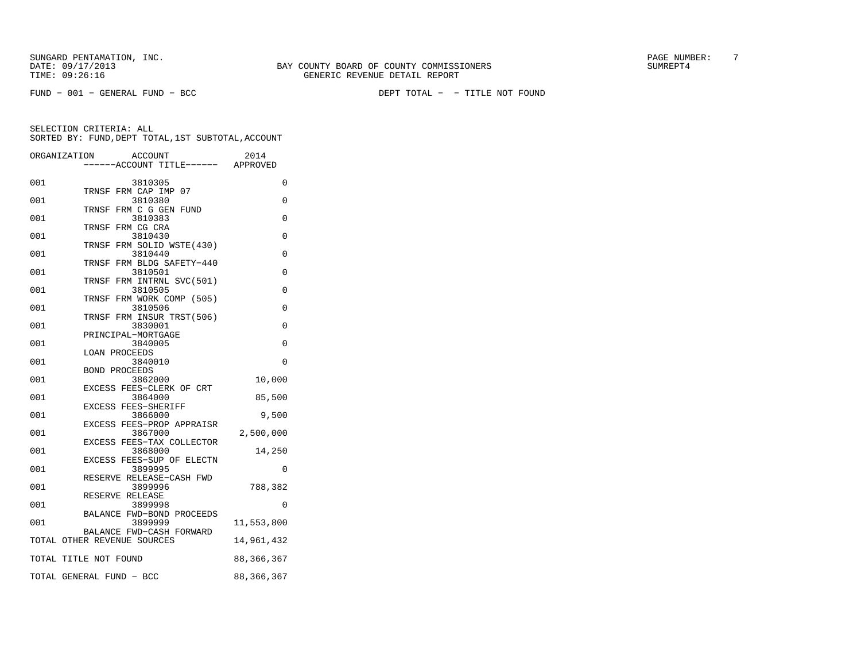FUND − 001 − GENERAL FUND − BCC DEPT TOTAL − − TITLE NOT FOUND

|     | ORGANIZATION<br>ACCOUNT<br>---ACCOUNT TITLE------ APPROVED | 2014         |
|-----|------------------------------------------------------------|--------------|
| 001 | 3810305                                                    | 0            |
| 001 | TRNSF FRM CAP IMP 07<br>3810380                            | 0            |
| 001 | FRM C G GEN FUND<br>TRNSF<br>3810383                       | $\Omega$     |
|     | FRM CG CRA<br>TRNSF                                        |              |
| 001 | 3810430<br>FRM SOLID WSTE(430)<br>TRNSF                    | 0            |
| 001 | 3810440                                                    | 0            |
| 001 | FRM BLDG SAFETY-440<br>TRNSF<br>3810501                    | $\Omega$     |
|     | TRNSF FRM INTRNL SVC(501)                                  |              |
| 001 | 3810505<br>FRM WORK COMP (505)<br>TRNSF                    | 0            |
| 001 | 3810506                                                    | 0            |
|     | TRNSF FRM INSUR TRST(506)                                  |              |
| 001 | 3830001<br>PRINCIPAL-MORTGAGE                              | $\Omega$     |
| 001 | 3840005                                                    | 0            |
|     | <b>LOAN PROCEEDS</b>                                       |              |
| 001 | 3840010                                                    | 0            |
|     | <b>BOND PROCEEDS</b>                                       |              |
| 001 | 3862000<br>EXCESS FEES-CLERK OF CRT                        | 10,000       |
| 001 | 3864000                                                    | 85,500       |
|     | EXCESS FEES-SHERIFF                                        |              |
| 001 | 3866000                                                    | 9,500        |
|     | EXCESS FEES-PROP APPRAISR                                  |              |
| 001 | 3867000<br>EXCESS FEES-TAX COLLECTOR                       | 2,500,000    |
| 001 | 3868000                                                    | 14,250       |
|     | EXCESS FEES-SUP OF ELECTN                                  |              |
| 001 | 3899995                                                    | 0            |
| 001 | RESERVE RELEASE-CASH FWD<br>3899996                        | 788,382      |
| 001 | RESERVE RELEASE<br>3899998                                 | 0            |
|     | BALANCE FWD-BOND PROCEEDS                                  |              |
| 001 | 3899999                                                    | 11,553,800   |
|     | BALANCE FWD-CASH FORWARD<br>TOTAL OTHER REVENUE SOURCES    | 14,961,432   |
|     |                                                            |              |
|     | TOTAL TITLE NOT FOUND                                      | 88, 366, 367 |
|     | TOTAL GENERAL FUND - BCC                                   | 88, 366, 367 |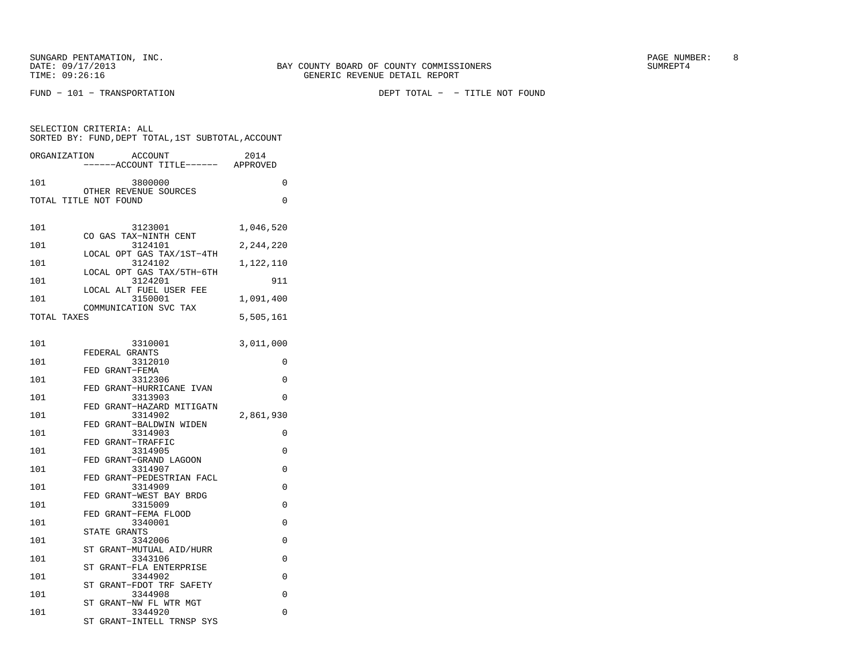SUNGARD PENTAMATION, INC.<br>
BAY COUNTY BOARD OF COUNTY COMMISSIONERS AND SUNREPT4 SUMREPT4

FUND − 101 − TRANSPORTATION DEPT TOTAL − − TITLE NOT FOUND

| SELECTION CRITERIA: ALL<br>SORTED BY: FUND, DEPT TOTAL, 1ST SUBTOTAL, ACCOUNT |                                                |           |  |  |
|-------------------------------------------------------------------------------|------------------------------------------------|-----------|--|--|
| ORGANIZATION                                                                  | ACCOUNT<br>------ACCOUNT TITLE------ APPROVED  | 2014      |  |  |
| 101                                                                           | 3800000                                        | $\Omega$  |  |  |
|                                                                               | OTHER REVENUE SOURCES<br>TOTAL TITLE NOT FOUND | 0         |  |  |
| 101                                                                           | 3123001                                        | 1,046,520 |  |  |
| 101                                                                           | CO GAS TAX-NINTH CENT<br>3124101               | 2,244,220 |  |  |
| 101                                                                           | LOCAL OPT GAS TAX/1ST-4TH<br>3124102           | 1,122,110 |  |  |
| 101                                                                           | LOCAL OPT GAS TAX/5TH-6TH<br>3124201           | 911       |  |  |
| 101                                                                           | LOCAL ALT FUEL USER FEE<br>3150001             | 1,091,400 |  |  |
| TOTAL TAXES                                                                   | COMMUNICATION SVC TAX                          | 5,505,161 |  |  |
|                                                                               |                                                |           |  |  |
| 101                                                                           | 3310001<br>FEDERAL GRANTS                      | 3,011,000 |  |  |
| 101                                                                           | 3312010                                        | $\Omega$  |  |  |
| 101                                                                           | FED GRANT-FEMA<br>3312306                      | $\Omega$  |  |  |
| 101                                                                           | FED GRANT-HURRICANE IVAN<br>3313903            | 0         |  |  |
| 101                                                                           | FED GRANT-HAZARD MITIGATN<br>3314902           | 2,861,930 |  |  |
| 101                                                                           | FED GRANT-BALDWIN WIDEN<br>3314903             | $\Omega$  |  |  |
| 101                                                                           | FED GRANT-TRAFFIC<br>3314905                   | 0         |  |  |
| 101                                                                           | FED GRANT-GRAND LAGOON<br>3314907              | $\Omega$  |  |  |
|                                                                               | FED GRANT-PEDESTRIAN FACL                      |           |  |  |
| 101                                                                           | 3314909<br>FED GRANT-WEST BAY BRDG             | 0         |  |  |
| 101                                                                           | 3315009<br>FED GRANT-FEMA FLOOD                | $\Omega$  |  |  |
| 101                                                                           | 3340001                                        | 0         |  |  |
| 101                                                                           | STATE GRANTS<br>3342006                        | 0         |  |  |
| 101                                                                           | ST GRANT-MUTUAL AID/HURR<br>3343106            | 0         |  |  |
| 101                                                                           | ST GRANT-FLA ENTERPRISE<br>3344902             | 0         |  |  |
| 101                                                                           | ST<br>GRANT-FDOT TRF SAFETY<br>3344908         | 0         |  |  |
| 101                                                                           | ST GRANT-NW FL WTR MGT<br>3344920              | $\Omega$  |  |  |
|                                                                               | ST GRANT-INTELL TRNSP SYS                      |           |  |  |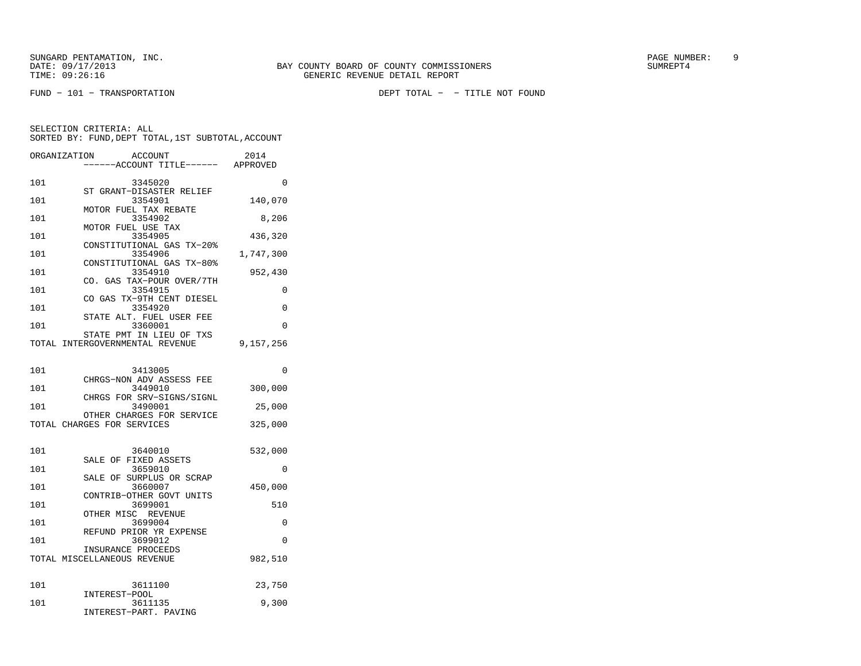|     | ORGANIZATION<br><b>ACCOUNT</b><br>----ACCOUNT TITLE------ APPROVED | 2014      |
|-----|--------------------------------------------------------------------|-----------|
| 101 | 3345020                                                            | 0         |
| 101 | ST GRANT-DISASTER RELIEF<br>3354901                                | 140,070   |
| 101 | MOTOR FUEL TAX REBATE<br>3354902                                   | 8,206     |
| 101 | MOTOR FUEL USE TAX<br>3354905                                      | 436,320   |
| 101 | CONSTITUTIONAL GAS TX-20%<br>3354906                               | 1,747,300 |
| 101 | CONSTITUTIONAL GAS TX-80%<br>3354910                               | 952,430   |
| 101 | CO. GAS TAX-POUR OVER/7TH<br>3354915                               | 0         |
| 101 | CO GAS TX-9TH CENT DIESEL<br>3354920                               | 0         |
| 101 | STATE ALT. FUEL USER FEE<br>3360001                                | $\Omega$  |
|     | STATE PMT IN LIEU OF TXS<br>TOTAL INTERGOVERNMENTAL REVENUE        | 9,157,256 |
|     |                                                                    |           |
| 101 | 3413005<br>CHRGS-NON ADV ASSESS FEE                                | 0         |
| 101 | 3449010<br>CHRGS FOR SRV-SIGNS/SIGNL                               | 300,000   |
| 101 | 3490001<br>OTHER CHARGES FOR SERVICE                               | 25,000    |
|     | TOTAL CHARGES FOR SERVICES                                         | 325,000   |
| 101 | 3640010                                                            | 532,000   |
| 101 | SALE OF FIXED ASSETS<br>3659010                                    | $\Omega$  |
| 101 | SALE OF SURPLUS OR SCRAP<br>3660007                                | 450,000   |
| 101 | CONTRIB-OTHER GOVT UNITS<br>3699001                                | 510       |
| 101 | OTHER MISC REVENUE<br>3699004                                      | 0         |
| 101 | REFUND PRIOR YR EXPENSE<br>3699012                                 | 0         |
|     | INSURANCE PROCEEDS<br>TOTAL MISCELLANEOUS REVENUE                  | 982,510   |
|     |                                                                    |           |
| 101 | 3611100<br>INTEREST-POOL                                           | 23,750    |
| 101 | 3611135<br>INTEREST-PART. PAVING                                   | 9,300     |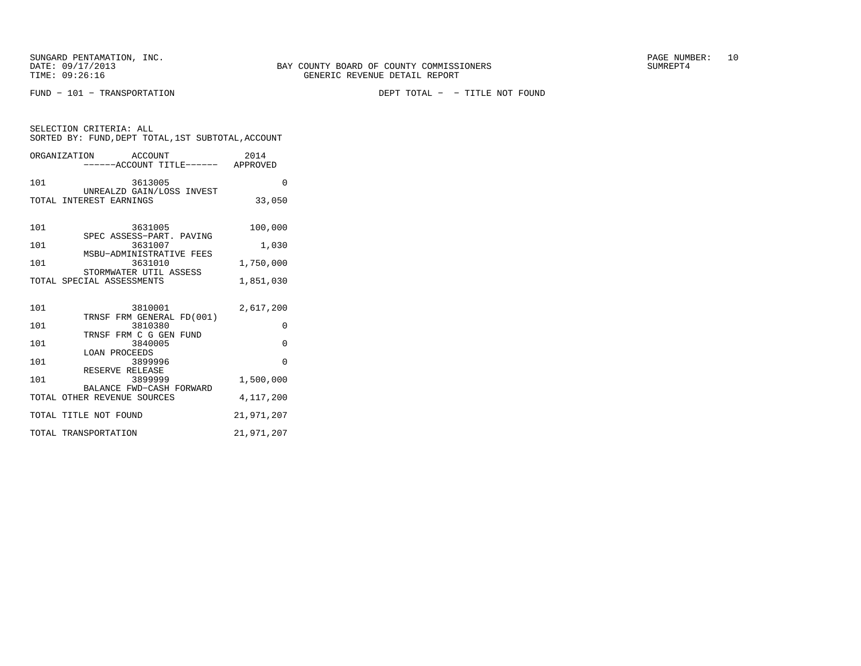FUND − 101 − TRANSPORTATION DEPT TOTAL − − TITLE NOT FOUND

| SELECTION CRITERIA: ALL<br>SORTED BY: FUND, DEPT TOTAL, 1ST SUBTOTAL, ACCOUNT |            |  |  |
|-------------------------------------------------------------------------------|------------|--|--|
| ORGANIZATION<br>ACCOUNT<br>-----ACCOUNT TITLE------ APPROVED                  | 2014       |  |  |
| 101<br>3613005<br>UNREALZD GAIN/LOSS INVEST                                   | $\Omega$   |  |  |
| TOTAL INTEREST EARNINGS                                                       | 33,050     |  |  |
| 101<br>3631005                                                                | 100,000    |  |  |
| SPEC ASSESS-PART. PAVING<br>101<br>3631007                                    | 1,030      |  |  |
| MSBU-ADMINISTRATIVE FEES<br>101<br>3631010                                    | 1,750,000  |  |  |
| STORMWATER UTIL ASSESS<br>TOTAL SPECIAL ASSESSMENTS                           | 1,851,030  |  |  |
| 101<br>3810001                                                                | 2,617,200  |  |  |
| TRNSF FRM GENERAL FD(001)<br>101<br>3810380                                   | $\Omega$   |  |  |
| TRNSF FRM C G GEN FUND<br>101<br>3840005                                      | $\Omega$   |  |  |
| LOAN PROCEEDS<br>101<br>3899996                                               | $\Omega$   |  |  |
| RESERVE RELEASE<br>101<br>3899999                                             | 1,500,000  |  |  |
| BALANCE FWD-CASH FORWARD<br>TOTAL OTHER REVENUE SOURCES                       | 4,117,200  |  |  |
| TOTAL TITLE NOT FOUND                                                         | 21,971,207 |  |  |
| TOTAL TRANSPORTATION                                                          | 21,971,207 |  |  |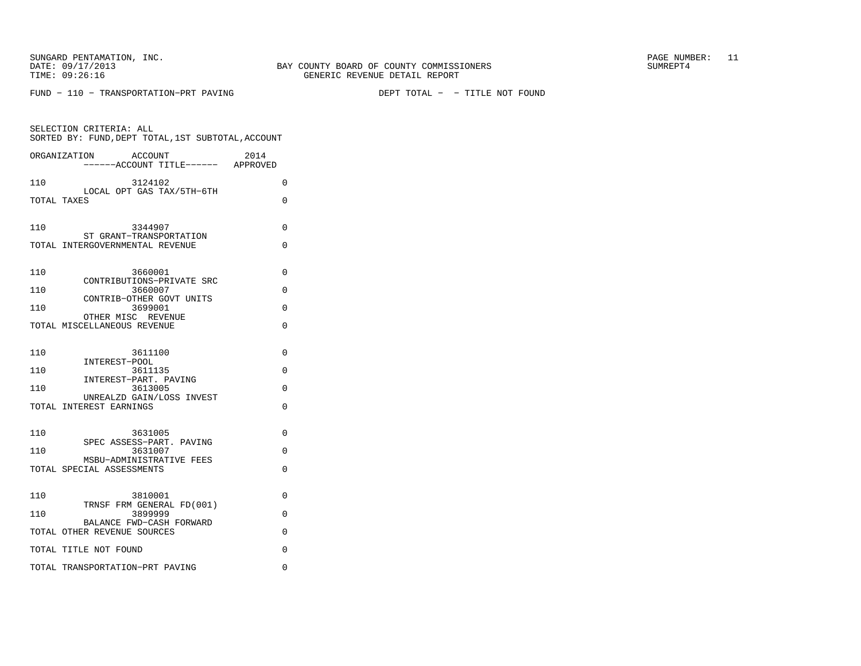FUND − 110 − TRANSPORTATION−PRT PAVING DEPT TOTAL − − TITLE NOT FOUND

| SELECTION CRITERIA: ALL<br>SORTED BY: FUND, DEPT TOTAL, 1ST SUBTOTAL, ACCOUNT |   |
|-------------------------------------------------------------------------------|---|
| ACCOUNT<br>2014<br>ORGANIZATION<br>----ACCOUNT TITLE------ APPROVED           |   |
| 110<br>3124102                                                                | 0 |
| LOCAL OPT GAS TAX/5TH-6TH<br>TOTAL TAXES                                      | 0 |
| 110<br>3344907<br>ST GRANT-TRANSPORTATION                                     | 0 |
| TOTAL INTERGOVERNMENTAL REVENUE                                               | 0 |
| 110<br>3660001<br>CONTRIBUTIONS-PRIVATE SRC                                   | 0 |
| 3660007<br>110                                                                | 0 |
| CONTRIB-OTHER GOVT UNITS<br>3699001<br>110                                    | 0 |
| OTHER MISC REVENUE<br>TOTAL MISCELLANEOUS REVENUE                             | 0 |
| 110<br>3611100<br>INTEREST-POOL                                               | 0 |
| 3611135<br>110                                                                | 0 |
| INTEREST-PART. PAVING<br>3613005<br>110                                       | 0 |
| UNREALZD GAIN/LOSS INVEST<br>TOTAL INTEREST EARNINGS                          | 0 |
| 110<br>3631005<br>SPEC ASSESS-PART. PAVING                                    | 0 |
| 110<br>3631007<br>MSBU-ADMINISTRATIVE FEES                                    | 0 |
| TOTAL SPECIAL ASSESSMENTS                                                     | 0 |
| 110<br>3810001<br>TRNSF FRM GENERAL FD(001)                                   | 0 |
| 3899999<br>110                                                                | 0 |
| BALANCE FWD-CASH FORWARD<br>TOTAL OTHER REVENUE SOURCES                       | 0 |
| TOTAL TITLE NOT FOUND                                                         | 0 |
| TOTAL TRANSPORTATION-PRT PAVING                                               | 0 |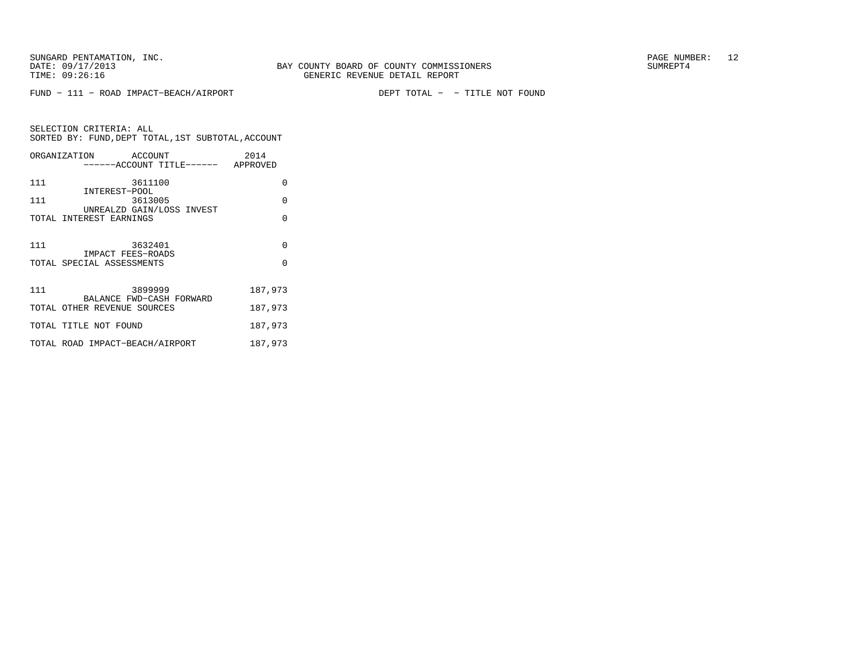FUND − 111 − ROAD IMPACT−BEACH/AIRPORT DEPT TOTAL − − TITLE NOT FOUND

SELECTION CRITERIA: ALL SORTED BY: FUND,DEPT TOTAL,1ST SUBTOTAL,ACCOUNTORGANIZATION ACCOUNT 2014

|     | UNGANIAAIIUN<br><b>AUGUUNI</b><br>------ACCOUNT TITLE------ APPROVED | $201 +$  |
|-----|----------------------------------------------------------------------|----------|
| 111 | 3611100<br>INTEREST-POOL                                             | $\Omega$ |
| 111 | 3613005                                                              | $\Omega$ |
|     | UNREALZD GAIN/LOSS INVEST<br>TOTAL INTEREST EARNINGS                 | $\Omega$ |
| 111 | 3632401                                                              | $\Omega$ |
|     | IMPACT FEES-ROADS<br>TOTAL SPECIAL ASSESSMENTS                       | $\Omega$ |
| 111 | 3899999<br>BALANCE FWD-CASH FORWARD                                  | 187,973  |
|     | TOTAL OTHER REVENUE SOURCES                                          | 187,973  |
|     | TOTAL TITLE NOT FOUND                                                | 187,973  |
|     | TOTAL ROAD IMPACT-BEACH/AIRPORT                                      | 187,973  |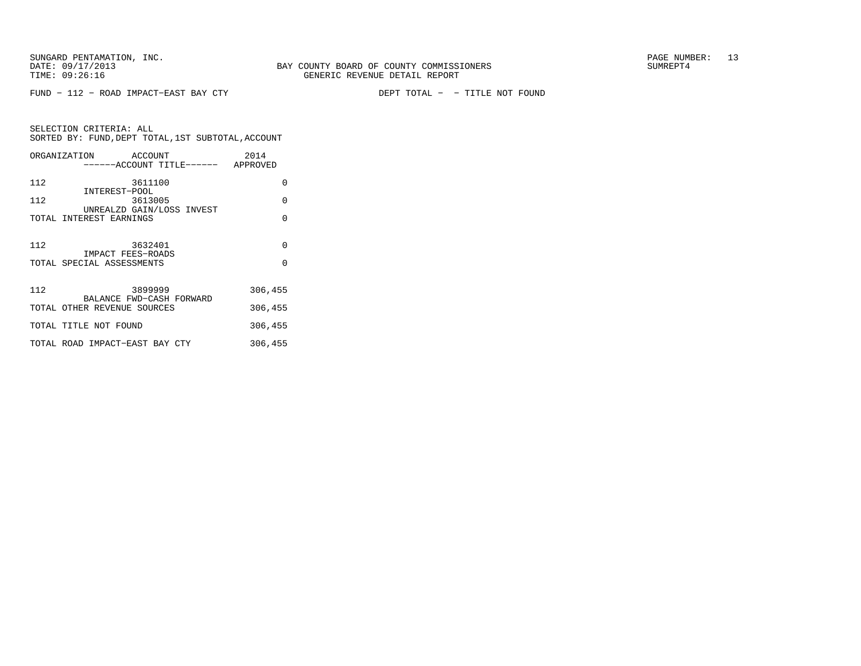FUND − 112 − ROAD IMPACT−EAST BAY CTY DEPT TOTAL − − TITLE NOT FOUND

SELECTION CRITERIA: ALL SORTED BY: FUND,DEPT TOTAL,1ST SUBTOTAL,ACCOUNTORGANIZATION ACCOUNT 2014

|     | ORGANIZATION ACCOUNT<br>------ACCOUNT TITLE------ APPROVED | 2014     |
|-----|------------------------------------------------------------|----------|
| 112 | 3611100                                                    | 0        |
| 112 | INTEREST-POOL<br>3613005                                   | $\Omega$ |
|     | UNREALZD GAIN/LOSS INVEST<br>TOTAL INTEREST EARNINGS       | $\Omega$ |
| 112 | 3632401                                                    | $\Omega$ |
|     | IMPACT FEES-ROADS<br>TOTAL SPECIAL ASSESSMENTS             | $\Omega$ |
|     |                                                            |          |
| 112 | 3899999<br>BALANCE FWD-CASH FORWARD                        | 306,455  |
|     | TOTAL OTHER REVENUE SOURCES                                | 306,455  |
|     | TOTAL TITLE NOT FOUND                                      | 306,455  |
|     | TOTAL ROAD IMPACT-EAST BAY CTY                             | 306,455  |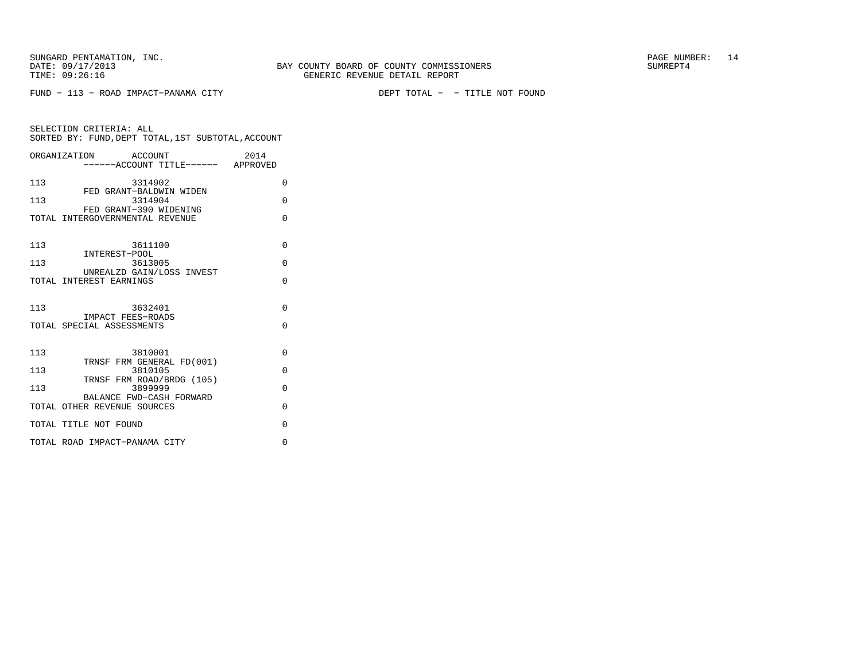FUND − 113 − ROAD IMPACT−PANAMA CITY DEPT TOTAL − − TITLE NOT FOUND

| ORGANIZATION ACCOUNT                                  | -----ACCOUNT TITLE------ APPROVED    | 2014     |
|-------------------------------------------------------|--------------------------------------|----------|
| 113                                                   | 3314902<br>FED GRANT-BALDWIN WIDEN   | $\Omega$ |
| 113                                                   | 3314904<br>FED GRANT-390 WIDENING    | $\Omega$ |
| TOTAL INTERGOVERNMENTAL REVENUE                       |                                      | $\Omega$ |
|                                                       |                                      |          |
| 113<br>INTEREST-POOL                                  | 3611100                              | $\Omega$ |
| 113                                                   | 3613005                              | $\Omega$ |
| TOTAL INTEREST EARNINGS                               | UNREALZD GAIN/LOSS INVEST            | $\Omega$ |
|                                                       |                                      |          |
| 113                                                   | 3632401                              | $\Omega$ |
| <b>IMPACT FEES-ROADS</b><br>TOTAL SPECIAL ASSESSMENTS |                                      | $\Omega$ |
|                                                       |                                      |          |
| 113                                                   | 3810001<br>TRNSF FRM GENERAL FD(001) | $\Omega$ |
| 113                                                   | 3810105                              | $\Omega$ |
| 113                                                   | TRNSF FRM ROAD/BRDG (105)<br>3899999 | $\Omega$ |
| TOTAL OTHER REVENUE SOURCES                           | BALANCE FWD-CASH FORWARD             | $\Omega$ |
| TOTAL TITLE NOT FOUND                                 |                                      | $\Omega$ |
| TOTAL ROAD IMPACT-PANAMA CITY                         |                                      | $\Omega$ |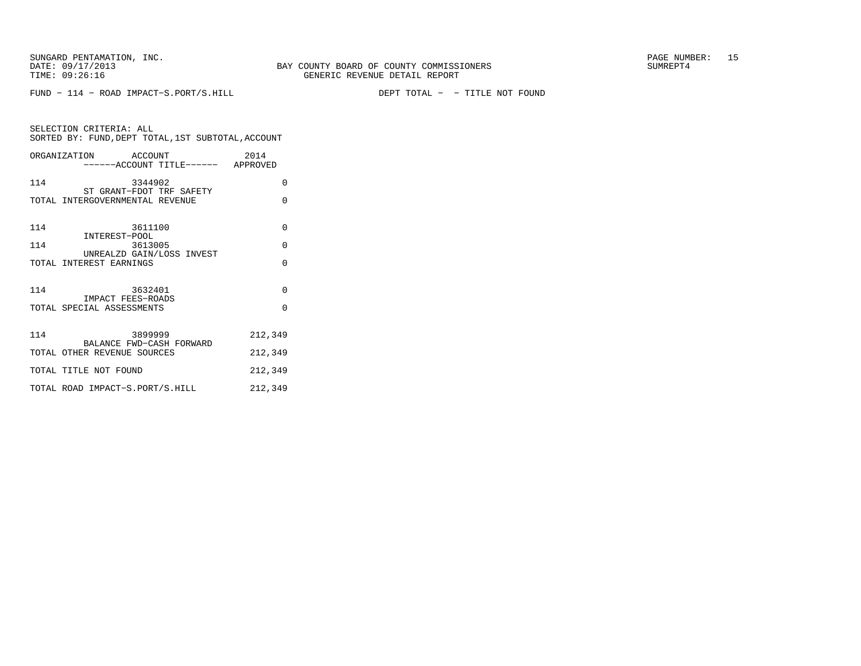FUND − 114 − ROAD IMPACT−S.PORT/S.HILL DEPT TOTAL − − TITLE NOT FOUND

| SELECTION CRITERIA: ALL | SORTED BY: FUND, DEPT TOTAL, 1ST SUBTOTAL, ACCOUNT |      |
|-------------------------|----------------------------------------------------|------|
| ORGANIZATION            | ACCOUNT                                            | 2014 |

| 114 | 3344902<br>ST GRANT-FDOT TRF SAFETY                  | $\Omega$ |
|-----|------------------------------------------------------|----------|
|     | TOTAL INTERGOVERNMENTAL REVENUE                      | $\Omega$ |
|     |                                                      |          |
| 114 | 3611100                                              | $\Omega$ |
| 114 | INTEREST-POOL<br>3613005                             | $\Omega$ |
|     | UNREALZD GAIN/LOSS INVEST<br>TOTAL INTEREST EARNINGS | $\Omega$ |
|     |                                                      |          |
| 114 | 3632401                                              | $\Omega$ |
|     | IMPACT FEES-ROADS<br>TOTAL SPECIAL ASSESSMENTS       | $\Omega$ |
|     |                                                      |          |
| 114 | 3899999<br>BALANCE FWD-CASH FORWARD                  | 212,349  |
|     | TOTAL OTHER REVENUE SOURCES                          | 212,349  |
|     | TOTAL TITLE NOT FOUND                                | 212,349  |
|     | TOTAL ROAD IMPACT-S.PORT/S.HILL                      | 212,349  |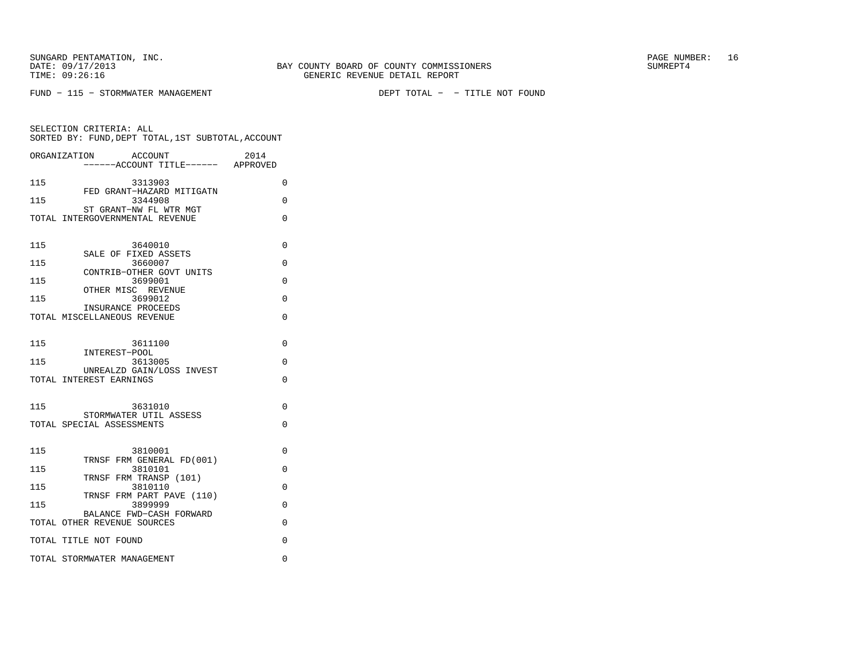SUNGARD PENTAMATION, INC. THE SUNGARD PAGE NUMBER: 16

SELECTION CRITERIA: ALL

FUND − 115 − STORMWATER MANAGEMENT DEPT TOTAL − − TITLE NOT FOUND

 SORTED BY: FUND,DEPT TOTAL,1ST SUBTOTAL,ACCOUNTORGANIZATION ACCOUNT 2014−−−−−−ACCOUNT TITLE−−−−−− APPROVED

115 3313903 0 FED GRANT−HAZARD MITIGATN 115 3344908 0 ST GRANT−NW FL WTR MGT TOTAL INTERGOVERNMENTAL REVENUE 0 115 3640010 0 SALE OF FIXED ASSETS 115 3660007 0 CONTRIB−OTHER GOVT UNITS115 3699001 0 OTHER MISC REVENUE115 3699012 0 INSURANCE PROCEEDS TOTAL MISCELLANEOUS REVENUE 0 115 3611100 0 INTEREST−POOL 115 3613005 0 UNREALZD GAIN/LOSS INVESTTOTAL INTEREST EARNINGS 0 115 3631010 0 STORMWATER UTIL ASSESSTOTAL SPECIAL ASSESSMENTS 0 115 3810001 0 TRNSF FRM GENERAL FD(001)115 3810101 0 TRNSF FRM TRANSP (101)115 3810110 0 TRNSF FRM PART PAVE (110)115 3899999 0 BALANCE FWD−CASH FORWARDTOTAL OTHER REVENUE SOURCES 0 TOTAL TITLE NOT FOUND 0

TOTAL STORMWATER MANAGEMENT 0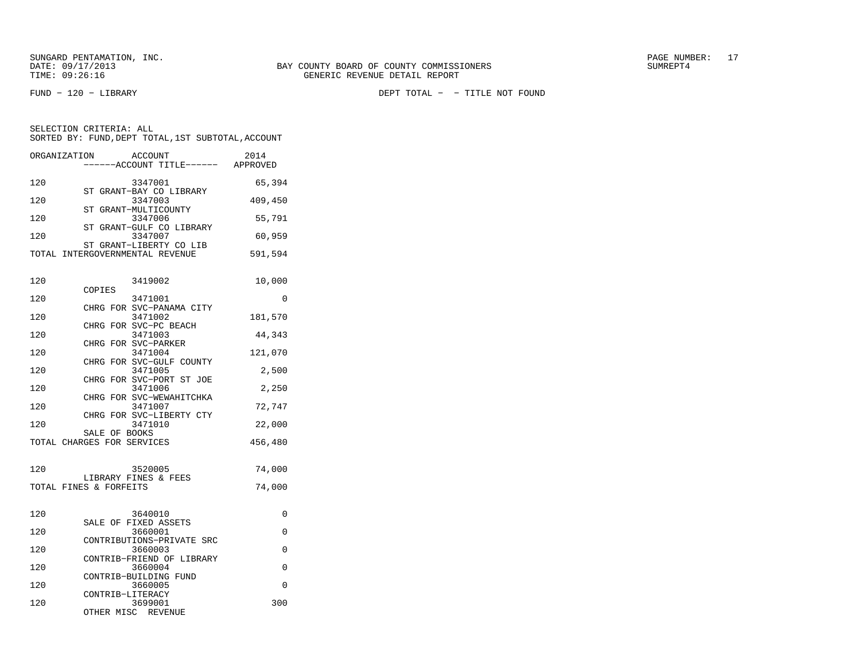SELECTION CRITERIA: ALL

FUND − 120 − LIBRARY DEPT TOTAL − − TITLE NOT FOUND

| 120 | 3347001                                                    | 65,394  |
|-----|------------------------------------------------------------|---------|
| 120 | ST GRANT-BAY CO LIBRARY<br>3347003                         | 409,450 |
| 120 | ST GRANT-MULTICOUNTY<br>3347006                            | 55,791  |
| 120 | ST GRANT-GULF CO LIBRARY<br>3347007                        | 60,959  |
|     | ST GRANT-LIBERTY CO LIB<br>TOTAL INTERGOVERNMENTAL REVENUE | 591,594 |
| 120 | 3419002<br>COPIES                                          | 10,000  |
| 120 | 3471001                                                    | O       |
| 120 | CHRG FOR SVC-PANAMA CITY<br>3471002                        | 181,570 |

 SORTED BY: FUND,DEPT TOTAL,1ST SUBTOTAL,ACCOUNTORGANIZATION ACCOUNT 2014−−−−−−ACCOUNT TITLE−−−−−− APPROVED

|     |               | CHRG FOR SVC-PC BEACH    |         |
|-----|---------------|--------------------------|---------|
| 120 |               | 3471003                  | 44,343  |
|     |               | CHRG FOR SVC-PARKER      |         |
| 120 |               | 3471004                  | 121,070 |
|     |               | CHRG FOR SVC-GULF COUNTY |         |
| 120 |               | 3471005                  | 2,500   |
|     |               | CHRG FOR SVC-PORT ST JOE |         |
| 120 |               | 3471006                  | 2,250   |
|     |               | CHRG FOR SVC-WEWAHITCHKA |         |
| 120 |               | 3471007                  | 72,747  |
|     |               | CHRG FOR SVC-LIBERTY CTY |         |
| 120 |               | 3471010                  | 22,000  |
|     | SALE OF BOOKS |                          |         |
|     |               |                          |         |

| 120 | 3520005<br>LIBRARY FINES & FEES<br>TOTAL FINES & FORFEITS | 74,000<br>74,000 |
|-----|-----------------------------------------------------------|------------------|
| 120 | 3640010                                                   |                  |
| 120 | SALE OF FIXED ASSETS<br>3660001                           |                  |

TOTAL CHARGES FOR SERVICES 456,480

| $\perp$ $\perp$ $\cup$ | $.3 \cup 0 \cup 1 \cup 1 +$ |  |
|------------------------|-----------------------------|--|
|                        | CONTRIBUTIONS-PRIVATE SRC   |  |
| 120                    | 3660003                     |  |
|                        | CONTRIB-FRIEND OF LIBRARY   |  |
| 120                    | 3660004                     |  |
|                        | CONTRIB-BUILDING FUND       |  |
| 120                    | 3660005                     |  |
|                        | CONTRIB-LITERACY            |  |
| 120                    | 3699001                     |  |

OTHER MISC REVENUE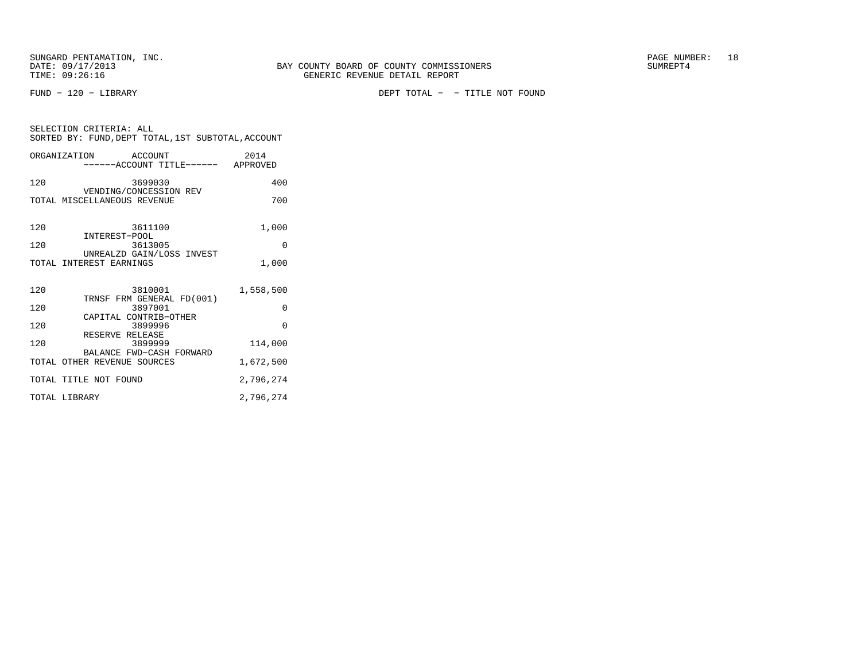SELECTION CRITERIA: ALL

FUND − 120 − LIBRARY DEPT TOTAL − − TITLE NOT FOUND

|               | SORTED BY: FUND, DEPT TOTAL, 1ST SUBTOTAL, ACCOUNT      |           |
|---------------|---------------------------------------------------------|-----------|
|               | ORGANIZATION ACCOUNT                                    | 2014      |
| 120           | 3699030                                                 | 400       |
|               | VENDING/CONCESSION REV<br>TOTAL MISCELLANEOUS REVENUE   | 700       |
| 120           | 3611100                                                 | 1,000     |
| 120           | INTEREST-POOL<br>3613005                                | 0         |
|               | UNREALZD GAIN/LOSS INVEST<br>TOTAL INTEREST EARNINGS    | 1,000     |
| 120           | 3810001                                                 | 1,558,500 |
| 120           | TRNSF FRM GENERAL FD(001)<br>3897001                    | $\Omega$  |
| 120           | CAPITAL CONTRIB-OTHER<br>3899996                        | $\Omega$  |
| 120           | RESERVE RELEASE<br>3899999                              | 114,000   |
|               | BALANCE FWD-CASH FORWARD<br>TOTAL OTHER REVENUE SOURCES | 1,672,500 |
|               | TOTAL TITLE NOT FOUND                                   | 2,796,274 |
| TOTAL LIBRARY |                                                         | 2,796,274 |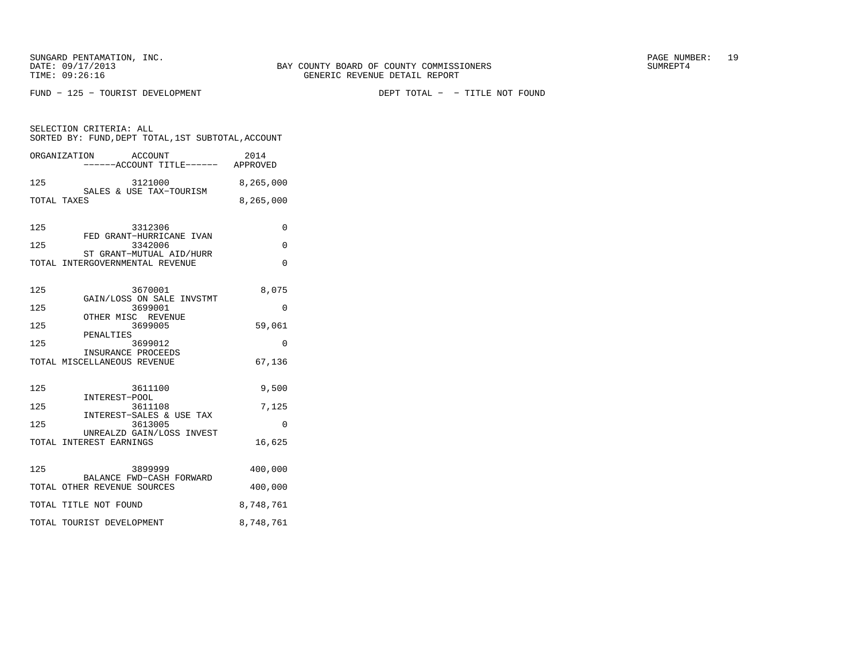FUND − 125 − TOURIST DEVELOPMENT DEPT TOTAL − − TITLE NOT FOUND

SELECTION CRITERIA: ALL SORTED BY: FUND,DEPT TOTAL,1ST SUBTOTAL,ACCOUNTORGANIZATION ACCOUNT 2014

| 8,265,000   |
|-------------|
| 8, 265, 000 |
|             |

| 125 | 3312306                         |  |
|-----|---------------------------------|--|
|     | FED GRANT-HURRICANE IVAN        |  |
| 125 | 3342006                         |  |
|     | ST GRANT-MUTUAL AID/HURR        |  |
|     | TOTAL INTERGOVERNMENTAL REVENUE |  |

| 125 | 3670001                                                    | 8,075     |
|-----|------------------------------------------------------------|-----------|
| 125 | GAIN/LOSS ON SALE INVSTMT<br>3699001<br>OTHER MISC REVENUE | 0         |
| 125 | 3699005<br>PENALTIES                                       | 59,061    |
| 125 | 3699012<br>INSURANCE PROCEEDS                              | $\Omega$  |
|     | TOTAL MISCELLANEOUS REVENUE                                | 67,136    |
| 125 |                                                            |           |
|     | 3611100<br>INTEREST-POOL                                   | 9,500     |
| 125 | 3611108                                                    | 7,125     |
| 125 | INTEREST-SALES & USE TAX<br>3613005                        | $\Omega$  |
|     | UNREALZD GAIN/LOSS INVEST<br>TOTAL INTEREST EARNINGS       | 16,625    |
| 125 | 3899999                                                    | 400,000   |
|     | BALANCE FWD-CASH FORWARD<br>TOTAL OTHER REVENUE SOURCES    | 400,000   |
|     | TOTAL TITLE NOT FOUND                                      | 8,748,761 |
|     | TOTAL TOURIST DEVELOPMENT                                  | 8,748,761 |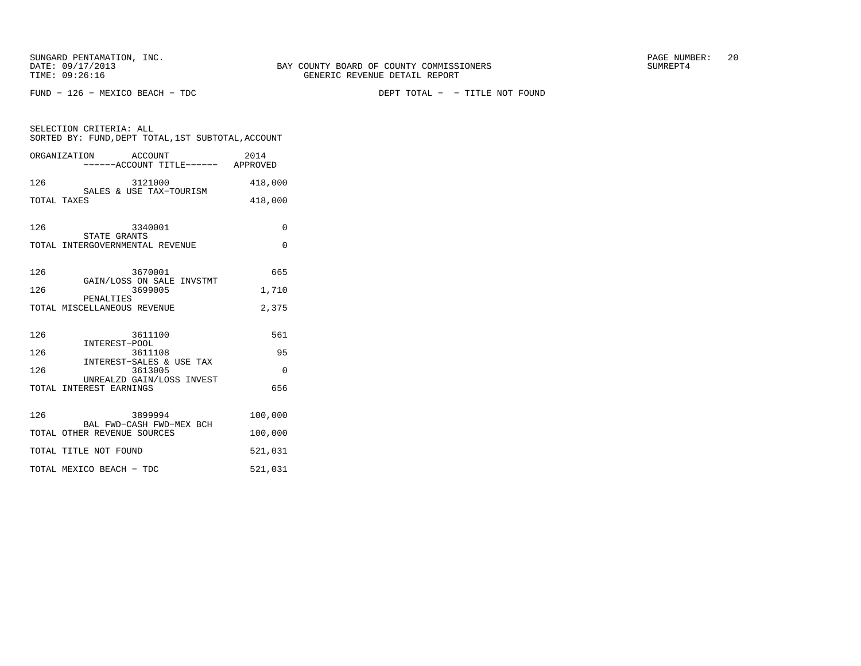FUND − 126 − MEXICO BEACH − TDC DEPT TOTAL − − TITLE NOT FOUND

| SELECTION CRITERIA: ALL<br>SORTED BY: FUND, DEPT TOTAL, 1ST SUBTOTAL, ACCOUNT |          |  |  |
|-------------------------------------------------------------------------------|----------|--|--|
| ORGANIZATION ACCOUNT<br>-----ACCOUNT TITLE------ APPROVED                     | 2014     |  |  |
| 126<br>3121000<br>SALES & USE TAX-TOURISM                                     | 418,000  |  |  |
| TOTAL TAXES                                                                   | 418,000  |  |  |
| 126<br>3340001<br>STATE GRANTS                                                | 0        |  |  |
| TOTAL INTERGOVERNMENTAL REVENUE                                               | $\Omega$ |  |  |
| 126<br>3670001<br>GAIN/LOSS ON SALE INVSTMT                                   | 665      |  |  |
| 126<br>3699005<br>PENALTIES                                                   | 1,710    |  |  |
| TOTAL MISCELLANEOUS REVENUE                                                   | 2,375    |  |  |
| 126<br>3611100<br>INTEREST-POOL                                               | 561      |  |  |
| 126<br>3611108<br>INTEREST-SALES & USE TAX                                    | 95       |  |  |
| 126<br>3613005<br>UNREALZD GAIN/LOSS INVEST                                   | $\Omega$ |  |  |
| TOTAL INTEREST EARNINGS                                                       | 656      |  |  |
| 126<br>3899994<br>BAL FWD-CASH FWD-MEX BCH                                    | 100,000  |  |  |
| TOTAL OTHER REVENUE SOURCES                                                   | 100,000  |  |  |
| TOTAL TITLE NOT FOUND                                                         | 521,031  |  |  |
| TOTAL MEXICO BEACH - TDC                                                      | 521,031  |  |  |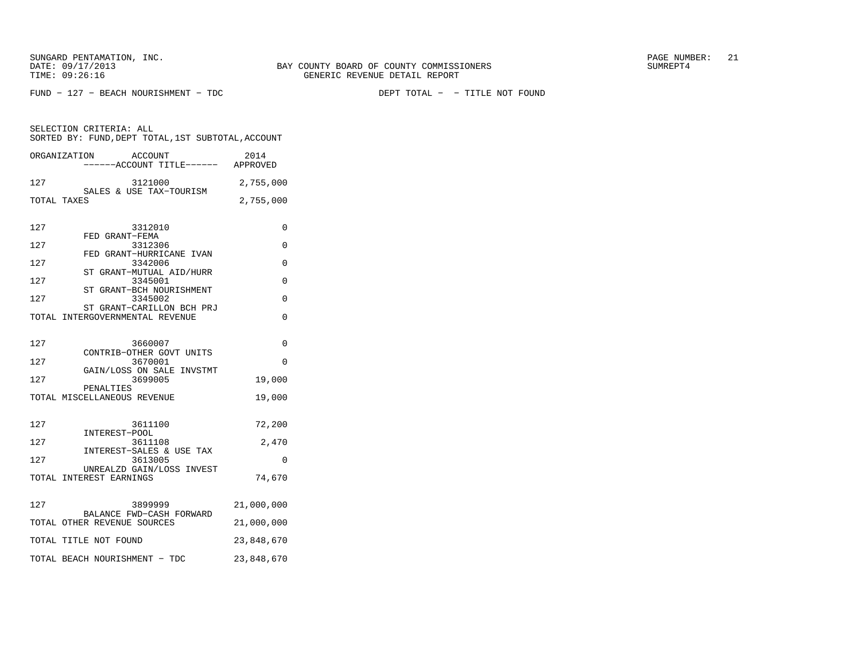FUND − 127 − BEACH NOURISHMENT − TDC DEPT TOTAL − − TITLE NOT FOUND

|             | ORGANIZATION                | ACCOUNT<br>----ACCOUNT TITLE------ APPROVED                   | 2014       |
|-------------|-----------------------------|---------------------------------------------------------------|------------|
| 127         |                             | 3121000<br>SALES & USE TAX-TOURISM                            | 2,755,000  |
| TOTAL TAXES |                             |                                                               | 2,755,000  |
| 127         |                             | 3312010<br>FED GRANT-FEMA                                     | 0          |
| 127         |                             | 3312306<br>FED GRANT-HURRICANE IVAN                           | 0          |
| 127         |                             | 3342006<br>ST GRANT-MUTUAL AID/HURR                           | 0          |
| 127         |                             | 3345001                                                       | 0          |
| 127         | ST                          | GRANT-BCH NOURISHMENT<br>3345002<br>ST GRANT-CARILLON BCH PRJ | $\Omega$   |
|             |                             | TOTAL INTERGOVERNMENTAL REVENUE                               | $\Omega$   |
|             |                             |                                                               |            |
| 127         |                             | 3660007<br>CONTRIB-OTHER GOVT UNITS                           | $\Omega$   |
| 127         |                             | 3670001                                                       | $\Omega$   |
| 127         | PENALTIES                   | GAIN/LOSS ON SALE INVSTMT<br>3699005                          | 19,000     |
|             | TOTAL MISCELLANEOUS REVENUE |                                                               | 19,000     |
|             |                             |                                                               |            |
| 127         |                             | 3611100<br>INTEREST-POOL                                      | 72,200     |
| 127         |                             | 3611108                                                       | 2,470      |
| 127         |                             | INTEREST-SALES & USE TAX<br>3613005                           | 0          |
|             | TOTAL INTEREST EARNINGS     | UNREALZD GAIN/LOSS INVEST                                     | 74,670     |
| 127         |                             | 3899999                                                       | 21,000,000 |
|             | TOTAL OTHER REVENUE SOURCES | BALANCE FWD-CASH FORWARD                                      | 21,000,000 |
|             | TOTAL TITLE NOT FOUND       |                                                               | 23,848,670 |
|             |                             | TOTAL BEACH NOURISHMENT - TDC                                 | 23,848,670 |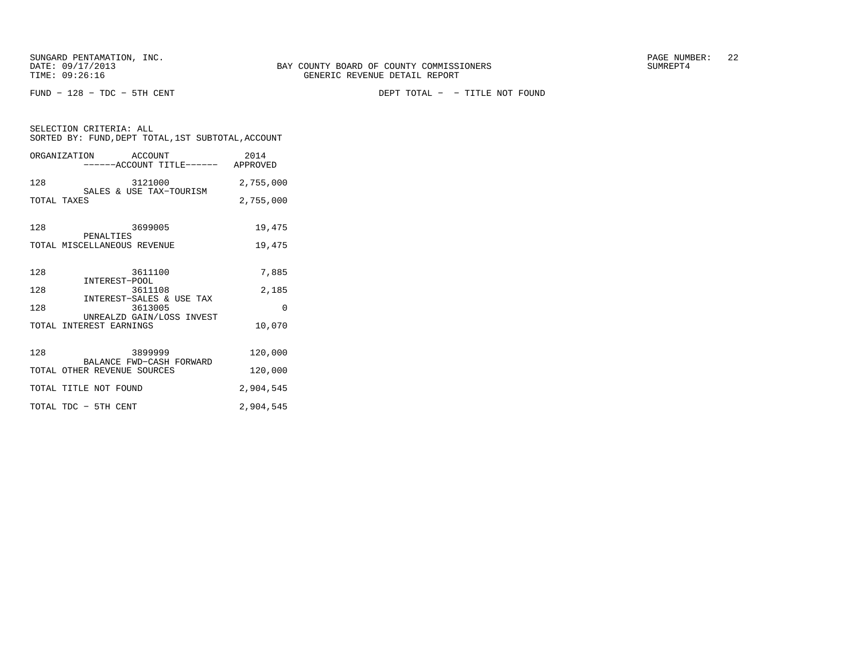SELECTION CRITERIA: ALL

FUND − 128 − TDC − 5TH CENT DEPT TOTAL − − TITLE NOT FOUND

| SORTED BY: FUND, DEPT TOTAL, 1ST SUBTOTAL, ACCOUNT         |           |
|------------------------------------------------------------|-----------|
| ORGANIZATION ACCOUNT<br>------ACCOUNT TITLE------ APPROVED | 2014      |
| 128<br>3121000<br>SALES & USE TAX-TOURISM                  | 2,755,000 |
| TOTAL TAXES                                                | 2,755,000 |
| 3699005<br>128<br>PENALTIES                                | 19,475    |
| TOTAL MISCELLANEOUS REVENUE                                | 19,475    |
| 3611100<br>128<br>INTEREST-POOL                            | 7,885     |
| 128<br>3611108                                             | 2,185     |
| INTEREST-SALES & USE TAX<br>128<br>3613005                 | $\Omega$  |
| UNREALZD GAIN/LOSS INVEST<br>TOTAL INTEREST EARNINGS       | 10,070    |
| 3899999 200<br>128                                         | 120,000   |
| BALANCE FWD-CASH FORWARD<br>TOTAL OTHER REVENUE SOURCES    | 120,000   |
| TOTAL TITLE NOT FOUND                                      | 2,904,545 |
| TOTAL TDC - 5TH CENT                                       | 2,904,545 |
|                                                            |           |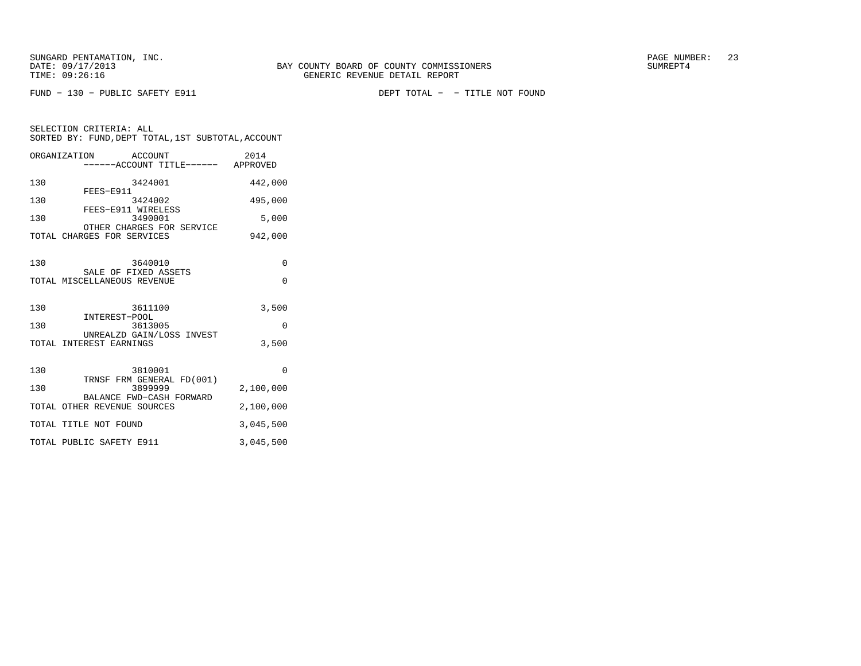SELECTION CRITERIA: ALL

FUND − 130 − PUBLIC SAFETY E911 DEPT TOTAL − − TITLE NOT FOUND

|              | SORTED BY: FUND, DEPT TOTAL, 1ST SUBTOTAL, ACCOUNT |         |  |                  |
|--------------|----------------------------------------------------|---------|--|------------------|
| ORGANIZATION | ------ACCOUNT TITLE------                          | ACCOUNT |  | 2014<br>APPROVED |
|              |                                                    |         |  |                  |

| 130 | 3424001                                                        | 442,000       |
|-----|----------------------------------------------------------------|---------------|
| 130 | FEES-E911<br>3424002<br>FEES-E911 WIRELESS                     | 495,000       |
| 130 | 3490001<br>OTHER CHARGES FOR SERVICE                           | 5,000         |
|     | TOTAL CHARGES FOR SERVICES                                     | 942,000       |
| 130 | 3640010<br>SALE OF FIXED ASSETS<br>TOTAL MISCELLANEOUS REVENUE | 0<br>$\Omega$ |
| 130 | 3611100<br>INTEREST-POOL                                       | 3,500         |
| 130 | 3613005                                                        | $\Omega$      |
|     | UNREALZD GAIN/LOSS INVEST<br>TOTAL INTEREST EARNINGS           | 3,500         |
| 130 | 3810001<br>TRNSF FRM GENERAL FD(001)                           | $\Omega$      |
| 130 | 3899999<br>BALANCE FWD-CASH FORWARD                            | 2,100,000     |
|     | TOTAL OTHER REVENUE SOURCES                                    | 2,100,000     |
|     | TOTAL TITLE NOT FOUND                                          | 3,045,500     |
|     | TOTAL PUBLIC SAFETY E911                                       | 3,045,500     |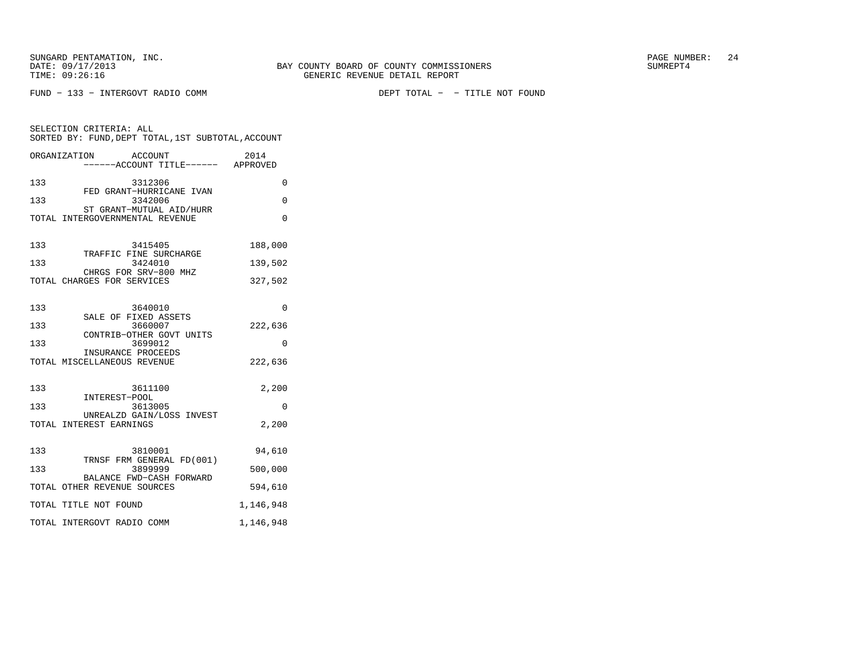FUND − 133 − INTERGOVT RADIO COMM DEPT TOTAL − − TITLE NOT FOUND

|     | SELECTION CRITERIA: ALL<br>SORTED BY: FUND, DEPT TOTAL, 1ST SUBTOTAL, ACCOUNT |           |
|-----|-------------------------------------------------------------------------------|-----------|
|     | ORGANIZATION<br>ACCOUNT<br>------ACCOUNT TITLE------ APPROVED                 | 2014      |
| 133 | 3312306<br>FED GRANT-HURRICANE IVAN                                           | 0         |
| 133 | 3342006<br>ST GRANT-MUTUAL AID/HURR                                           | 0         |
|     | TOTAL INTERGOVERNMENTAL REVENUE                                               | 0         |
| 133 | 3415405<br>TRAFFIC FINE SURCHARGE                                             | 188,000   |
| 133 | 3424010<br>CHRGS FOR SRV-800 MHZ                                              | 139,502   |
|     | TOTAL CHARGES FOR SERVICES                                                    | 327,502   |
| 133 | 3640010<br>SALE OF FIXED ASSETS                                               | $\Omega$  |
| 133 | 3660007<br>CONTRIB-OTHER GOVT UNITS                                           | 222,636   |
| 133 | 3699012                                                                       | 0         |
|     | INSURANCE PROCEEDS<br>TOTAL MISCELLANEOUS REVENUE                             | 222,636   |
| 133 | 3611100<br>INTEREST-POOL                                                      | 2,200     |
| 133 | 3613005<br>UNREALZD GAIN/LOSS INVEST                                          | 0         |
|     | TOTAL INTEREST EARNINGS                                                       | 2,200     |
| 133 | 3810001<br>TRNSF FRM GENERAL FD(001)                                          | 94,610    |
| 133 | 3899999                                                                       | 500,000   |
|     | BALANCE FWD-CASH FORWARD<br>TOTAL OTHER REVENUE SOURCES                       | 594,610   |
|     | TOTAL TITLE NOT FOUND                                                         | 1,146,948 |
|     | TOTAL INTERGOVT RADIO COMM                                                    | 1,146,948 |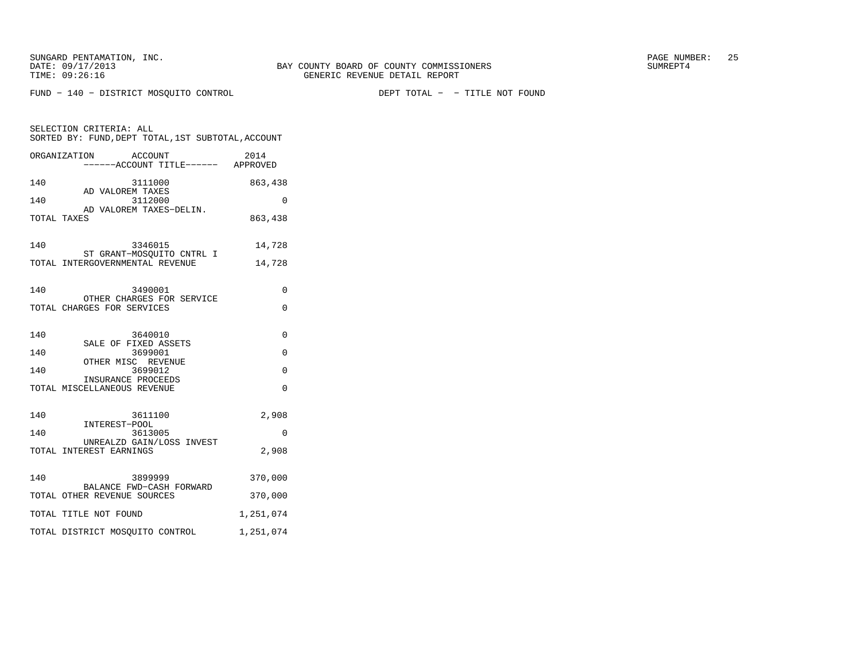SELECTION CRITERIA: ALL

FUND − 140 − DISTRICT MOSQUITO CONTROL DEPT TOTAL − − TITLE NOT FOUND

SORTED BY: FUND,DEPT TOTAL,1ST SUBTOTAL,ACCOUNT

| ORGANIZATION ACCOUNT<br>1 ACCOUNT 2014<br>----ACCOUNT TITLE------ APPROVED                                |                                 |
|-----------------------------------------------------------------------------------------------------------|---------------------------------|
| 140<br>3111000<br>AD VALOREM TAXES                                                                        | 863,438                         |
| 3112000<br>140<br>AD VALOREM TAXES-DELIN.<br>TOTAL TAXES                                                  | $\Omega$<br>863,438             |
| 140<br>3346015<br>ST GRANT-MOSOUITO CNTRL I<br>TOTAL INTERGOVERNMENTAL REVENUE                            | 14,728<br>14,728                |
| 140<br>3490001<br>OTHER CHARGES FOR SERVICE<br>TOTAL CHARGES FOR SERVICES                                 | 0<br>$\Omega$                   |
| 140<br>3640010<br>SALE OF FIXED ASSETS                                                                    | $\Omega$                        |
| 140<br>3699001<br>OTHER MISC REVENUE<br>3699012<br>140<br>INSURANCE PROCEEDS                              | $\Omega$<br>$\Omega$            |
| TOTAL MISCELLANEOUS REVENUE                                                                               | $\Omega$                        |
| 140<br>3611100<br>INTEREST-POOL<br>140<br>3613005<br>UNREALZD GAIN/LOSS INVEST<br>TOTAL INTEREST EARNINGS | 2,908<br>0<br>2,908             |
| 140<br>3899999<br>BALANCE FWD-CASH FORWARD<br>TOTAL OTHER REVENUE SOURCES<br>TOTAL TITLE NOT FOUND        | 370,000<br>370,000<br>1,251,074 |
| TOTAL DISTRICT MOSQUITO CONTROL                                                                           | 1,251,074                       |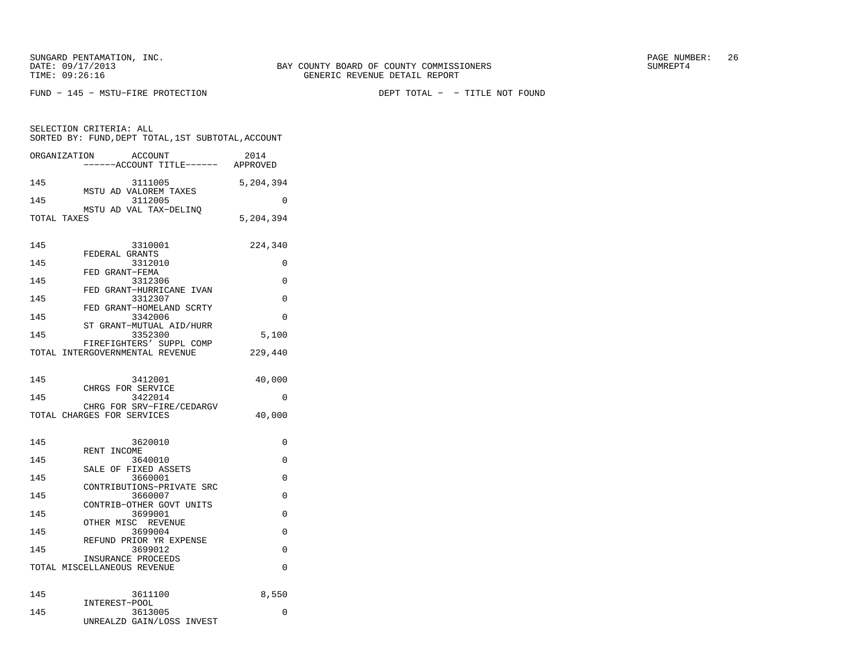SUNGARD PENTAMATION, INC.  $26$ 

SELECTION CRITERIA: ALL

FUND − 145 − MSTU−FIRE PROTECTION DEPT TOTAL − − TITLE NOT FOUND

 SORTED BY: FUND,DEPT TOTAL,1ST SUBTOTAL,ACCOUNTORGANIZATION ACCOUNT 2014 −−−−−−ACCOUNT TITLE−−−−−− APPROVED145 3111005 5,204,394

 MSTU AD VALOREM TAXES145 3112005 0 MSTU AD VAL TAX−DELINQTOTAL TAXES 5,204,394 145 3310001 224,340 FEDERAL GRANTS 145 3312010 0 FED GRANT−FEMA 145 3312306 0 FED GRANT−HURRICANE IVAN145 3312307 0 FED GRANT−HOMELAND SCRTY145 3342006 0 ST GRANT−MUTUAL AID/HURR145 3352300 5,100 FIREFIGHTERS' SUPPL COMP TOTAL INTERGOVERNMENTAL REVENUE 229,440 145 3412001 40,000 CHRGS FOR SERVICE 145 3422014 0 CHRG FOR SRV−FIRE/CEDARGVTOTAL CHARGES FOR SERVICES 40,000 145 3620010 0 RENT INCOME 145 3640010 0 SALE OF FIXED ASSETS145 3660001 0 CONTRIBUTIONS−PRIVATE SRC145 3660007 0 CONTRIB−OTHER GOVT UNITS145 3699001 0 OTHER MISC REVENUE145 3699004 0 REFUND PRIOR YR EXPENSE145 3699012 0 INSURANCE PROCEEDS TOTAL MISCELLANEOUS REVENUE 0 145 3611100 8,550 INTEREST−POOL 145 3613005 0 UNREALZD GAIN/LOSS INVEST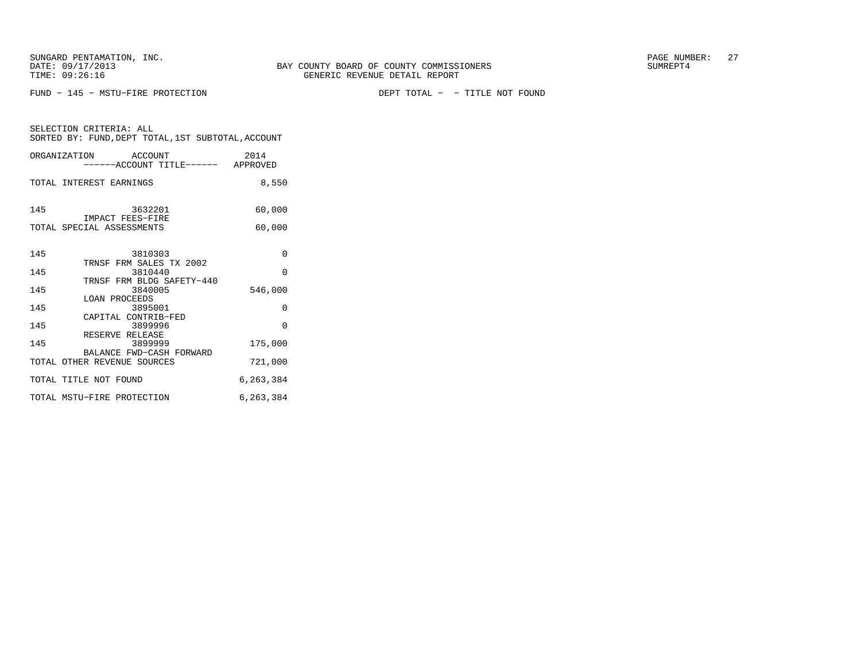FUND − 145 − MSTU−FIRE PROTECTION DEPT TOTAL − − TITLE NOT FOUND

| ORGANIZATION ACCOUNT<br>------ACCOUNT TITLE------ APPROVED | 2014      |
|------------------------------------------------------------|-----------|
| TOTAL INTEREST EARNINGS                                    | 8,550     |
| 145<br>3632201<br>IMPACT FEES-FIRE                         | 60,000    |
| TOTAL SPECIAL ASSESSMENTS                                  | 60,000    |
| 145<br>3810303                                             | 0         |
| TRNSF FRM SALES TX 2002<br>145<br>3810440                  | $\Omega$  |
| TRNSF FRM BLDG SAFETY-440<br>145<br>3840005                | 546,000   |
| <b>LOAN PROCEEDS</b><br>145<br>3895001                     | 0         |
| CAPITAL CONTRIB-FED<br>145<br>3899996<br>RESERVE RELEASE   | $\Omega$  |
| 145<br>3899999<br>BALANCE FWD-CASH FORWARD                 | 175,000   |
| TOTAL OTHER REVENUE SOURCES                                | 721,000   |
| TOTAL TITLE NOT FOUND                                      | 6,263,384 |
| TOTAL MSTU-FIRE PROTECTION                                 | 6,263,384 |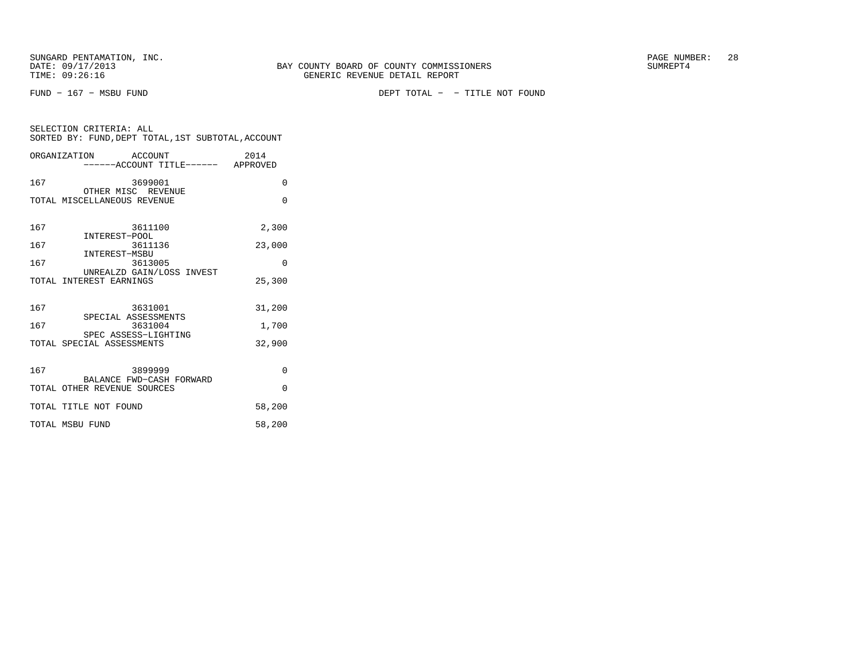SELECTION CRITERIA: ALL

|     | ORGANIZATION ACCOUNT<br>-----ACCOUNT TITLE------ APPROVED | 2014     |
|-----|-----------------------------------------------------------|----------|
| 167 | 3699001<br>OTHER MISC REVENUE                             | $\Omega$ |
|     | TOTAL MISCELLANEOUS REVENUE                               | $\Omega$ |
| 167 | 3611100                                                   | 2,300    |
| 167 | INTEREST-POOL<br>3611136                                  | 23,000   |
| 167 | INTEREST-MSBU<br>3613005                                  | $\Omega$ |
|     | UNREALZD GAIN/LOSS INVEST<br>TOTAL INTEREST EARNINGS      | 25,300   |
| 167 | 3631001<br>SPECIAL ASSESSMENTS                            | 31,200   |
| 167 | 3631004                                                   | 1,700    |
|     | SPEC ASSESS-LIGHTING<br>TOTAL SPECIAL ASSESSMENTS         | 32,900   |
| 167 | 3899999<br>BALANCE FWD-CASH FORWARD                       | $\Omega$ |

TOTAL OTHER REVENUE SOURCES 0 TOTAL TITLE NOT FOUND 58,200 TOTAL MSBU FUND 58,200

SORTED BY: FUND,DEPT TOTAL,1ST SUBTOTAL,ACCOUNT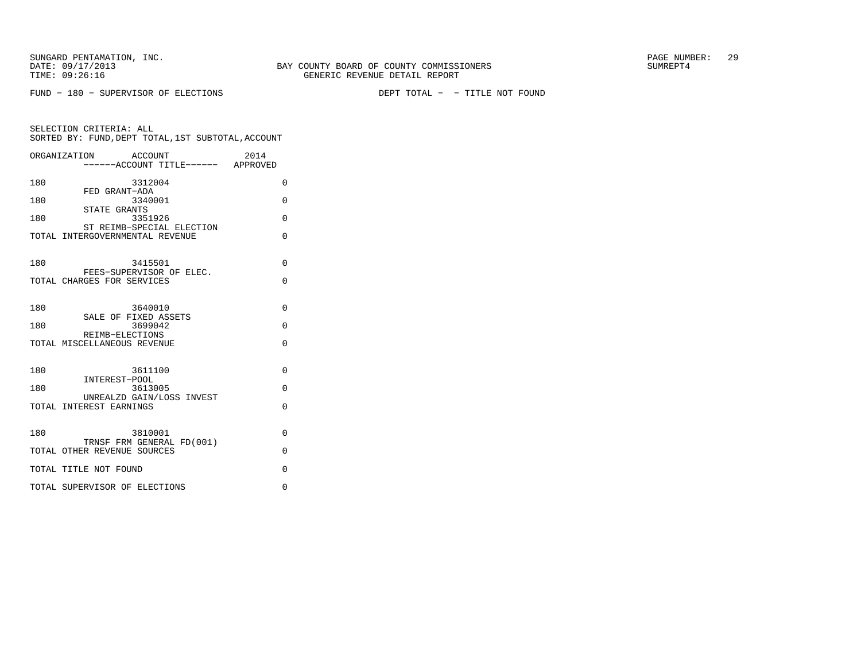FUND − 180 − SUPERVISOR OF ELECTIONS DEPT TOTAL − − TITLE NOT FOUND

|     | ORGANIZATION<br><b>ACCOUNT</b>                         | 2014     |
|-----|--------------------------------------------------------|----------|
|     | ------ACCOUNT TITLE------ APPROVED                     |          |
| 180 | 3312004                                                | 0        |
| 180 | FED GRANT-ADA<br>3340001                               | $\Omega$ |
|     | STATE GRANTS                                           |          |
| 180 | 3351926<br>ST REIMB-SPECIAL ELECTION                   | $\Omega$ |
|     | TOTAL INTERGOVERNMENTAL REVENUE                        | $\Omega$ |
|     |                                                        |          |
| 180 | 3415501                                                | $\Omega$ |
|     | FEES-SUPERVISOR OF ELEC.<br>TOTAL CHARGES FOR SERVICES | $\Omega$ |
|     |                                                        |          |
| 180 | 3640010                                                | $\Omega$ |
|     | SALE OF FIXED ASSETS                                   |          |
| 180 | 3699042<br>REIMB-ELECTIONS                             | $\Omega$ |
|     | TOTAL MISCELLANEOUS REVENUE                            | $\Omega$ |
|     |                                                        |          |
| 180 | 3611100                                                | $\Omega$ |
| 180 | INTEREST-POOL<br>3613005                               | $\Omega$ |
|     | UNREALZD GAIN/LOSS INVEST                              |          |
|     | TOTAL INTEREST EARNINGS                                | $\Omega$ |
|     |                                                        |          |
| 180 | 3810001<br>TRNSF FRM GENERAL FD(001)                   | $\Omega$ |
|     | TOTAL OTHER REVENUE SOURCES                            | $\Omega$ |
|     | TOTAL TITLE NOT FOUND                                  | $\Omega$ |
|     | TOTAL SUPERVISOR OF ELECTIONS                          | 0        |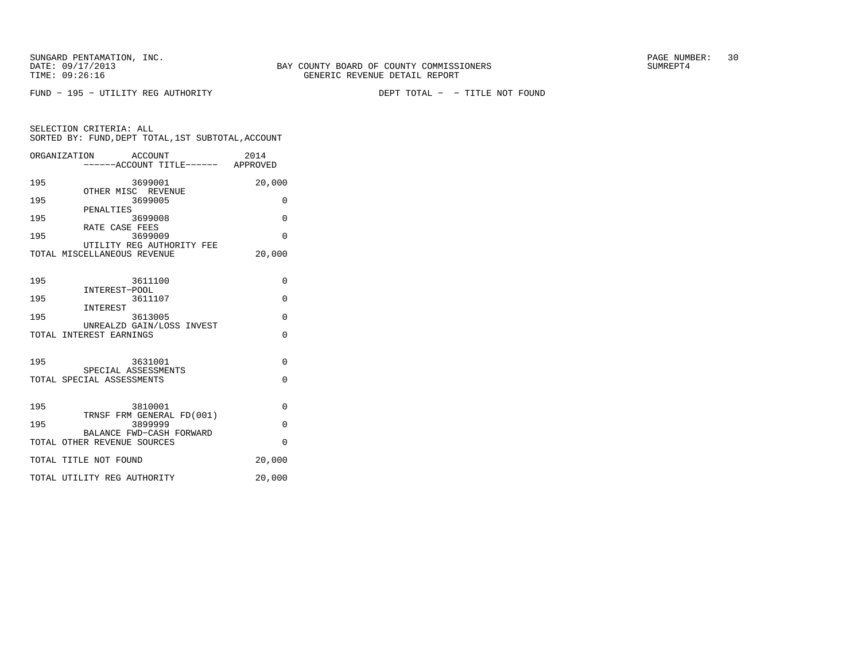FUND − 195 − UTILITY REG AUTHORITY DEPT TOTAL − − TITLE NOT FOUND

|     | ORGANIZATION ACCOUNT<br>----ACCOUNT TITLE------ APPROVED | 2014     |
|-----|----------------------------------------------------------|----------|
| 195 | 3699001<br>OTHER MISC REVENUE                            | 20,000   |
| 195 | 3699005                                                  | $\Omega$ |
| 195 | PENALTIES<br>3699008                                     | $\Omega$ |
| 195 | RATE CASE FEES<br>3699009                                | $\Omega$ |
|     | UTILITY REG AUTHORITY FEE<br>TOTAL MISCELLANEOUS REVENUE | 20,000   |
| 195 | 3611100                                                  | $\Omega$ |
| 195 | INTEREST-POOL<br>3611107                                 | $\Omega$ |
| 195 | INTEREST<br>3613005                                      | $\Omega$ |
|     | UNREALZD GAIN/LOSS INVEST<br>TOTAL INTEREST EARNINGS     | $\Omega$ |
| 195 | 3631001                                                  | $\Omega$ |
|     | SPECIAL ASSESSMENTS<br>TOTAL SPECIAL ASSESSMENTS         | $\Omega$ |
| 195 | 3810001                                                  | $\Omega$ |
| 195 | TRNSF FRM GENERAL FD(001)<br>3899999                     | $\Omega$ |
|     | BALANCE FWD-CASH FORWARD<br>TOTAL OTHER REVENUE SOURCES  | $\Omega$ |
|     | TOTAL TITLE NOT FOUND                                    | 20,000   |
|     | TOTAL UTILITY REG AUTHORITY                              | 20,000   |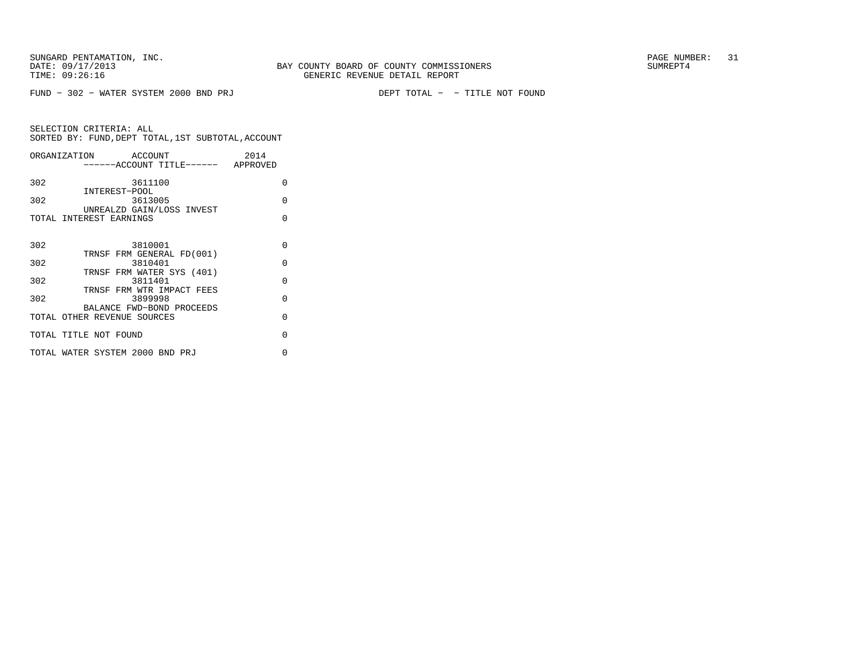|     | ORGANIZATION ACCOUNT                 | 2014     |
|-----|--------------------------------------|----------|
|     | ------ACCOUNT TITLE------ APPROVED   |          |
| 302 | 3611100<br>INTEREST-POOL             | $\Omega$ |
| 302 | 3613005                              | O        |
|     | UNREALZD GAIN/LOSS INVEST            |          |
|     | TOTAL INTEREST EARNINGS              | O        |
|     |                                      |          |
| 302 | 3810001                              | O        |
| 302 | TRNSF FRM GENERAL FD(001)<br>3810401 | $\Omega$ |
|     | TRNSF FRM WATER SYS (401)            |          |
| 302 | 3811401                              | $\Omega$ |
|     | TRNSF FRM WTR IMPACT FEES            |          |
| 302 | 3899998<br>BALANCE FWD-BOND PROCEEDS | O        |
|     | TOTAL OTHER REVENUE SOURCES          | O        |
|     | TOTAL TITLE NOT FOUND                | O        |
|     |                                      |          |
|     | TOTAL WATER SYSTEM 2000 BND PRJ      | U        |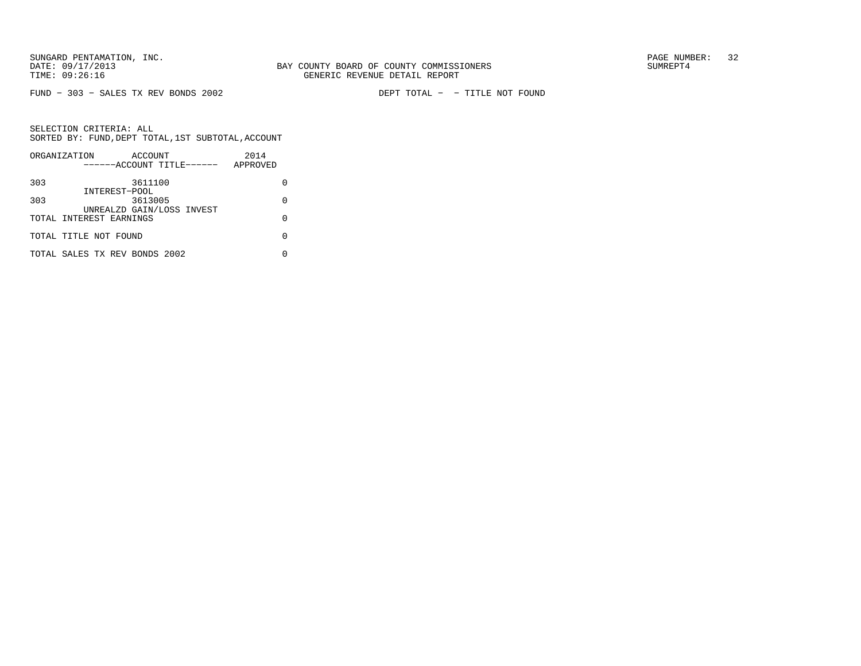FUND − 303 − SALES TX REV BONDS 2002 DEPT TOTAL − − TITLE NOT FOUND

|     | ORGANIZATION<br>ACCOUNT              | 2014     |
|-----|--------------------------------------|----------|
|     | ------ACCOUNT TITLE------            | APPROVED |
| 303 | 3611100                              |          |
|     | INTEREST-POOL                        |          |
| 303 | 3613005<br>UNREALZD GAIN/LOSS INVEST | O        |
|     | TOTAL INTEREST EARNINGS              | O        |
|     | TOTAL TITLE NOT FOUND                |          |
|     | TOTAL SALES TX REV BONDS 2002        |          |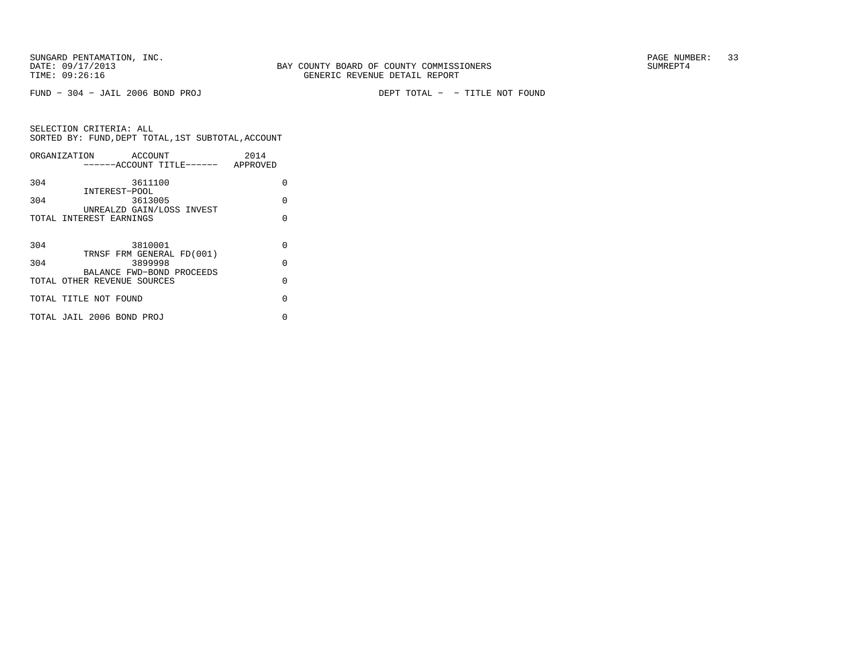FUND − 304 − JAIL 2006 BOND PROJ DEPT TOTAL − − TITLE NOT FOUND

|     | ORGANIZATION ACCOUNT        |                                    | 2014     |
|-----|-----------------------------|------------------------------------|----------|
|     |                             | ------ACCOUNT TITLE------ APPROVED |          |
| 304 |                             | 3611100                            | O        |
|     | INTEREST-POOL               |                                    |          |
| 304 |                             | 3613005                            | $\Omega$ |
|     |                             | UNREALZD GAIN/LOSS INVEST          |          |
|     | TOTAL INTEREST EARNINGS     |                                    | U        |
|     |                             |                                    |          |
| 304 |                             | 3810001                            | $\Omega$ |
|     |                             | TRNSF FRM GENERAL FD(001)          |          |
| 304 |                             | 3899998                            | $\Omega$ |
|     |                             | BALANCE FWD-BOND PROCEEDS          | $\Omega$ |
|     | TOTAL OTHER REVENUE SOURCES |                                    |          |
|     | TOTAL TITLE NOT FOUND       |                                    | $\Omega$ |
|     | TOTAL JAIL 2006 BOND PROJ   |                                    | U        |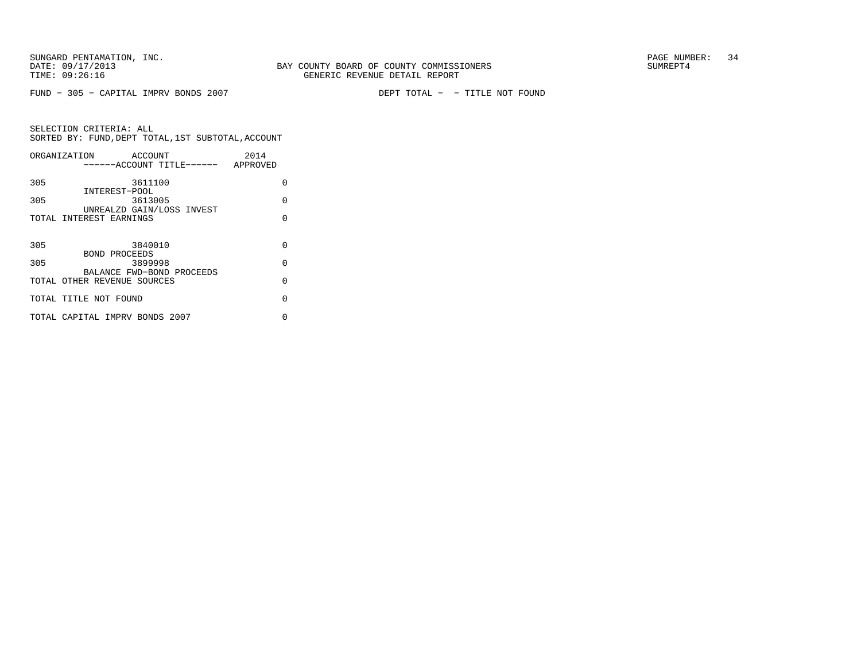FUND − 305 − CAPITAL IMPRV BONDS 2007 DEPT TOTAL − − TITLE NOT FOUND

|     | ORGANIZATION<br>ACCOUNT            | 2014     |
|-----|------------------------------------|----------|
|     | ------ACCOUNT TITLE------ APPROVED |          |
|     |                                    |          |
| 305 | 3611100                            | O        |
|     | INTEREST-POOL                      |          |
| 305 | 3613005                            | $\Omega$ |
|     | UNREALZD GAIN/LOSS INVEST          |          |
|     | TOTAL INTEREST EARNINGS            | U        |
|     |                                    |          |
|     |                                    |          |
| 305 | 3840010                            | $\Omega$ |
|     | BOND PROCEEDS                      |          |
| 305 | 3899998                            | $\Omega$ |
|     | BALANCE FWD-BOND PROCEEDS          |          |
|     | TOTAL OTHER REVENUE SOURCES        | $\Omega$ |
|     |                                    |          |
|     | TOTAL TITLE NOT FOUND              | O        |
|     |                                    |          |
|     | TOTAL CAPITAL IMPRV BONDS 2007     | U        |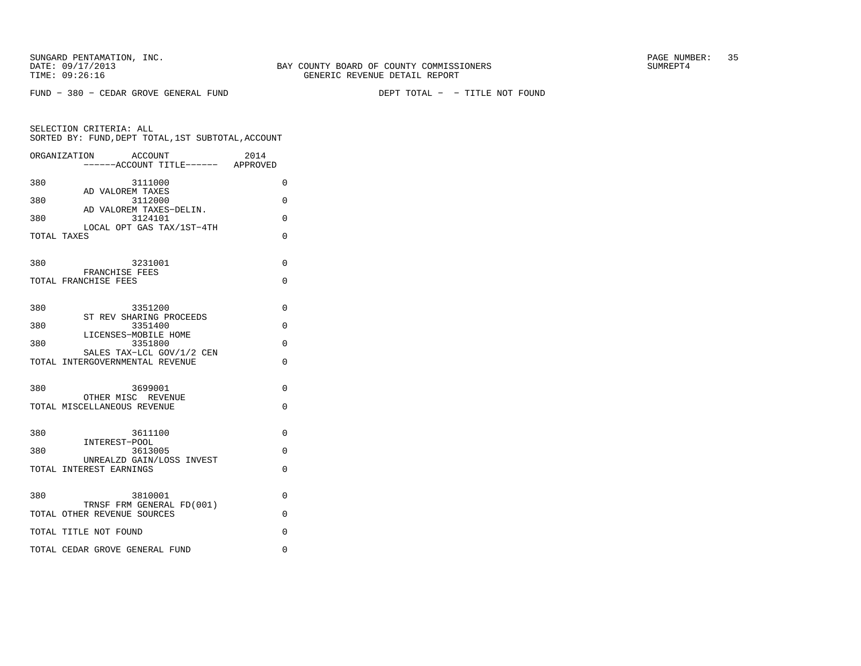|             | ORGANIZATION<br>ACCOUNT<br>------ACCOUNT TITLE------ APPROVED | 2014     |
|-------------|---------------------------------------------------------------|----------|
| 380         | 3111000                                                       | $\Omega$ |
| 380         | AD VALOREM TAXES<br>3112000<br>AD VALOREM TAXES-DELIN.        | $\Omega$ |
| 380         | 3124101<br>LOCAL OPT GAS TAX/1ST-4TH                          | 0        |
| TOTAL TAXES |                                                               | 0        |
| 380         | 3231001                                                       | 0        |
|             | FRANCHISE FEES<br>TOTAL FRANCHISE FEES                        | 0        |
| 380         | 3351200                                                       | $\Omega$ |
| 380         | ST REV SHARING PROCEEDS<br>3351400                            | 0        |
| 380         | LICENSES-MOBILE HOME<br>3351800                               | $\Omega$ |
|             | SALES TAX-LCL GOV/1/2 CEN<br>TOTAL INTERGOVERNMENTAL REVENUE  | 0        |
| 380         | 3699001                                                       | $\Omega$ |
|             | OTHER MISC REVENUE<br>TOTAL MISCELLANEOUS REVENUE             | $\Omega$ |
|             |                                                               |          |
| 380         | 3611100<br>INTEREST-POOL                                      | $\Omega$ |
| 380         | 3613005<br>UNREALZD GAIN/LOSS INVEST                          | 0        |
|             | TOTAL INTEREST EARNINGS                                       | 0        |
| 380         | 3810001                                                       | $\Omega$ |
|             | TRNSF FRM GENERAL FD(001)<br>TOTAL OTHER REVENUE SOURCES      | $\Omega$ |
|             | TOTAL TITLE NOT FOUND                                         | 0        |
|             | TOTAL CEDAR GROVE GENERAL FUND                                | 0        |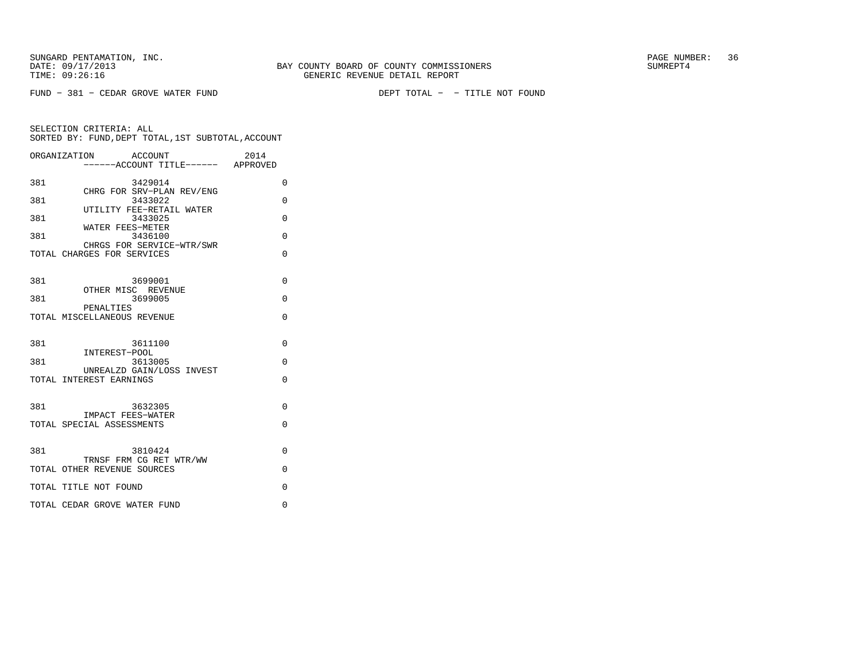FUND − 381 − CEDAR GROVE WATER FUND DEPT TOTAL − − TITLE NOT FOUND

| ORGANIZATION | 2014<br>ACCOUNT<br>-----ACCOUNT TITLE------ APPROVED    |          |
|--------------|---------------------------------------------------------|----------|
| 381          | 3429014                                                 | $\Omega$ |
| 381          | CHRG FOR SRV-PLAN REV/ENG<br>3433022                    | 0        |
| 381          | UTILITY FEE-RETAIL WATER<br>3433025                     | $\Omega$ |
| 381          | WATER FEES-METER<br>3436100                             | $\Omega$ |
|              | CHRGS FOR SERVICE-WTR/SWR<br>TOTAL CHARGES FOR SERVICES | $\Omega$ |
| 381          | 3699001                                                 | $\Omega$ |
| 381          | OTHER MISC REVENUE<br>3699005                           | $\Omega$ |
|              | PENALTIES<br>TOTAL MISCELLANEOUS REVENUE                | 0        |
| 381          | 3611100                                                 | $\Omega$ |
| 381          | INTEREST-POOL<br>3613005                                | $\Omega$ |
|              | UNREALZD GAIN/LOSS INVEST<br>TOTAL INTEREST EARNINGS    | $\Omega$ |
| 381          | 3632305                                                 | $\Omega$ |
|              | IMPACT FEES-WATER<br>TOTAL SPECIAL ASSESSMENTS          | 0        |
| 381          | 3810424                                                 | $\Omega$ |
|              | TRNSF FRM CG RET WTR/WW<br>TOTAL OTHER REVENUE SOURCES  | $\Omega$ |
|              | TOTAL TITLE NOT FOUND                                   | O        |
|              | TOTAL CEDAR GROVE WATER FUND                            | $\Omega$ |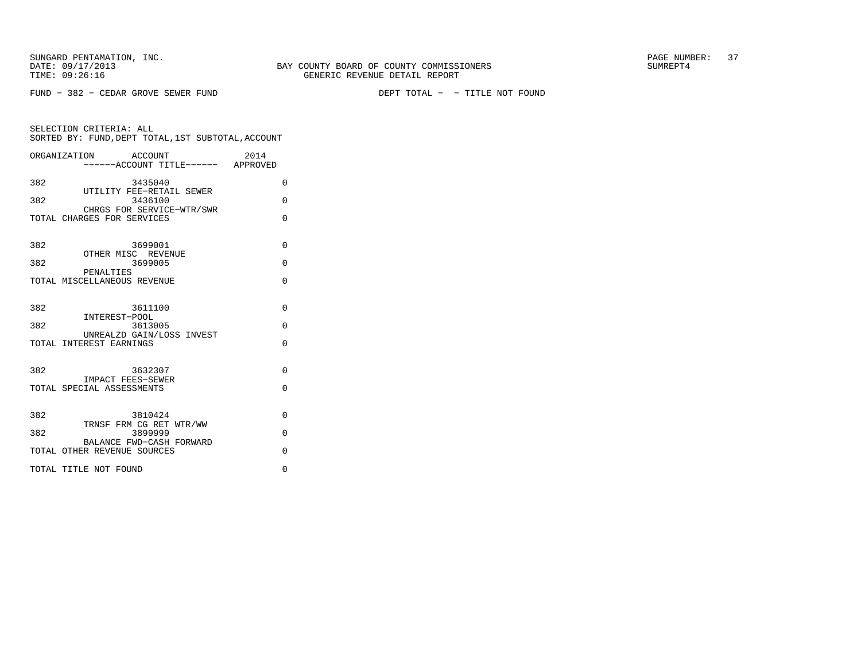SELECTION CRITERIA: ALL

FUND − 382 − CEDAR GROVE SEWER FUND DEPT TOTAL − − TITLE NOT FOUND

TIME:  $09:26:16$  GENERIC REVENUE DETAIL REPORT

BAY COUNTY BOARD OF COUNTY COMMISSIONERS

|              | SORTED BY: FUND, DEPT TOTAL, IST SUBTOTAL, ACCOUNT       |  |
|--------------|----------------------------------------------------------|--|
| ORGANIZATION | 2014<br>ACCOUNT<br>------ACCOUNT TITLE------<br>APPROVED |  |
| 382          | 3435040                                                  |  |
| 382          | UTILITY FEE-RETAIL SEWER<br>3436100                      |  |
|              | CHRGS FOR SERVICE-WTR/SWR                                |  |

TOTAL CHARGES FOR SERVICES 0

| 382 | 3699001                                                 | $\Omega$ |
|-----|---------------------------------------------------------|----------|
| 382 | OTHER MISC REVENUE<br>3699005                           | $\Omega$ |
|     | PENALTIES<br>TOTAL MISCELLANEOUS REVENUE                | $\Omega$ |
| 382 | 3611100                                                 | $\Omega$ |
| 382 | INTEREST-POOL<br>3613005                                | $\Omega$ |
|     | UNREALZD GAIN/LOSS INVEST<br>TOTAL INTEREST EARNINGS    | $\Omega$ |
|     |                                                         |          |
| 382 | 3632307                                                 | $\Omega$ |
|     | IMPACT FEES-SEWER<br>TOTAL SPECIAL ASSESSMENTS          | $\Omega$ |
|     |                                                         |          |
| 382 | 3810424                                                 | $\Omega$ |
| 382 | TRNSF FRM CG RET WTR/WW<br>3899999                      | $\Omega$ |
|     | BALANCE FWD-CASH FORWARD<br>TOTAL OTHER REVENUE SOURCES | $\Omega$ |
|     | TOTAL TITLE NOT FOUND                                   | $\Omega$ |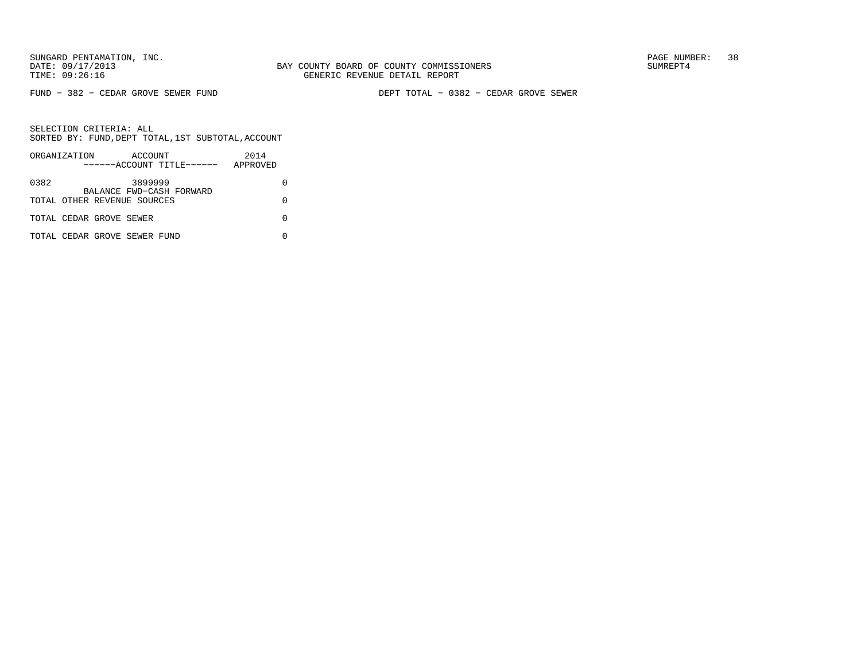FUND − 382 − CEDAR GROVE SEWER FUND DEPT TOTAL − 0382 − CEDAR GROVE SEWER

|      | ORGANIZATION |                              | ACCOUNT |                           | 2014     |  |
|------|--------------|------------------------------|---------|---------------------------|----------|--|
|      |              |                              |         | ------ACCOUNT TITLE------ | APPROVED |  |
| 0382 |              |                              | 3899999 | BALANCE FWD-CASH FORWARD  |          |  |
|      |              | TOTAL OTHER REVENUE SOURCES  |         |                           |          |  |
|      |              | TOTAL CEDAR GROVE SEWER      |         |                           |          |  |
|      |              | TOTAL CEDAR GROVE SEWER FUND |         |                           |          |  |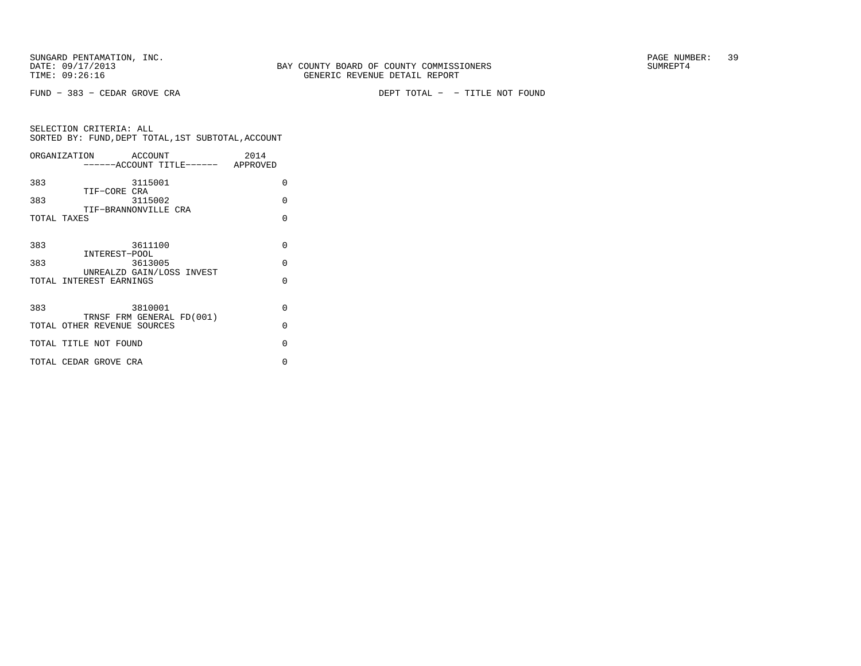FUND − 383 − CEDAR GROVE CRA DEPT TOTAL − − TITLE NOT FOUND

| ORGANIZATION                | ACCOUNT                              | 2014     |
|-----------------------------|--------------------------------------|----------|
|                             | ------ACCOUNT TITLE------ APPROVED   |          |
| 383                         | 3115001                              | $\Omega$ |
| TIF-CORE CRA<br>383         | 3115002                              | $\Omega$ |
| TOTAL TAXES                 | TIF-BRANNONVILLE CRA                 | $\Omega$ |
|                             |                                      |          |
| 383                         | 3611100                              | $\Omega$ |
| INTEREST-POOL<br>383        | 3613005                              | $\Omega$ |
| TOTAL INTEREST EARNINGS     | UNREALZD GAIN/LOSS INVEST            | $\Omega$ |
|                             |                                      |          |
| 383                         | 3810001<br>TRNSF FRM GENERAL FD(001) | $\Omega$ |
| TOTAL OTHER REVENUE SOURCES |                                      | $\Omega$ |
| TOTAL TITLE NOT FOUND       |                                      | $\Omega$ |
| TOTAL CEDAR GROVE CRA       |                                      | U        |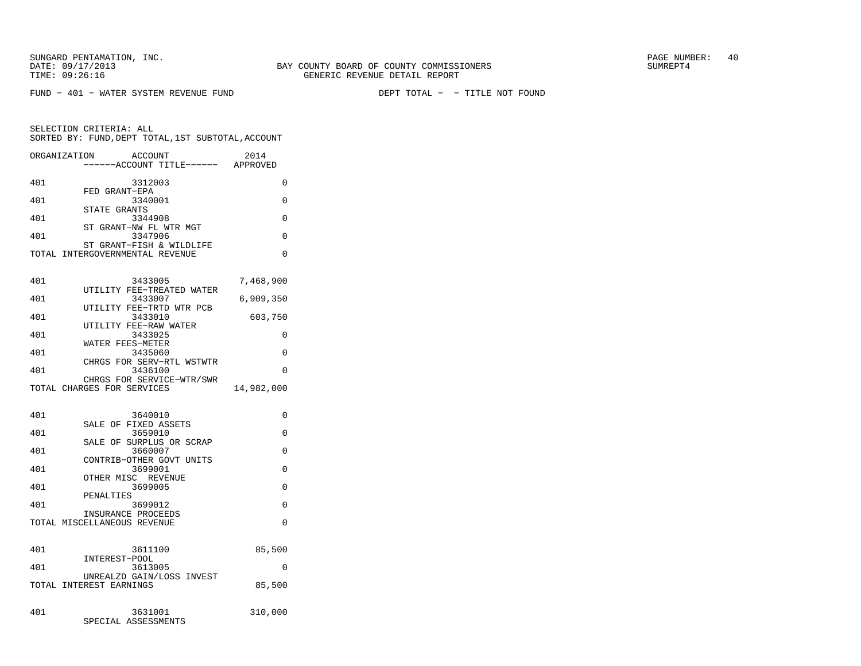FUND − 401 − WATER SYSTEM REVENUE FUND DEPT TOTAL − − TITLE NOT FOUND

| ORGANIZATION | <b>ACCOUNT</b><br>--ACCOUNT TITLE------                     | 2014<br>APPROVED |
|--------------|-------------------------------------------------------------|------------------|
| 401          | 3312003                                                     | 0                |
| 401          | FED GRANT-EPA<br>3340001                                    | 0                |
| 401          | STATE GRANTS<br>3344908                                     | 0                |
| 401          | ST GRANT-NW FL WTR MGT<br>3347906                           | 0                |
|              | ST GRANT-FISH & WILDLIFE<br>TOTAL INTERGOVERNMENTAL REVENUE | $\Omega$         |
| 401          | 3433005                                                     | 7,468,900        |
|              | UTILITY FEE-TREATED WATER                                   |                  |
| 401          | 3433007<br>UTILITY FEE-TRTD WTR PCB                         | 6,909,350        |
| 401          | 3433010<br>UTILITY FEE-RAW WATER                            | 603,750          |
| 401          | 3433025<br>WATER FEES-METER                                 | 0                |
| 401          | 3435060                                                     | 0                |
| 401          | CHRGS FOR SERV-RTL WSTWTR<br>3436100                        | 0                |
|              | CHRGS FOR SERVICE-WTR/SWR<br>TOTAL CHARGES FOR SERVICES     | 14,982,000       |
| 401          | 3640010                                                     | 0                |
| 401          | SALE OF FIXED ASSETS<br>3659010                             | 0                |
|              | SALE OF SURPLUS OR SCRAP                                    |                  |
| 401          | 3660007<br>CONTRIB-OTHER GOVT UNITS                         | 0                |
| 401          | 3699001<br>OTHER MISC REVENUE                               | 0                |
| 401          | 3699005                                                     | 0                |
| 401          | PENALTIES<br>3699012                                        | 0                |
|              | INSURANCE PROCEEDS<br>TOTAL MISCELLANEOUS REVENUE           | $\Omega$         |
| 401          | 3611100                                                     | 85,500           |
| 401          | INTEREST-POOL                                               | 0                |
|              | 3613005<br>UNREALZD GAIN/LOSS INVEST                        |                  |
|              | TOTAL INTEREST EARNINGS                                     | 85,500           |
| 401          | 3631001<br>SPECIAL ASSESSMENTS                              | 310,000          |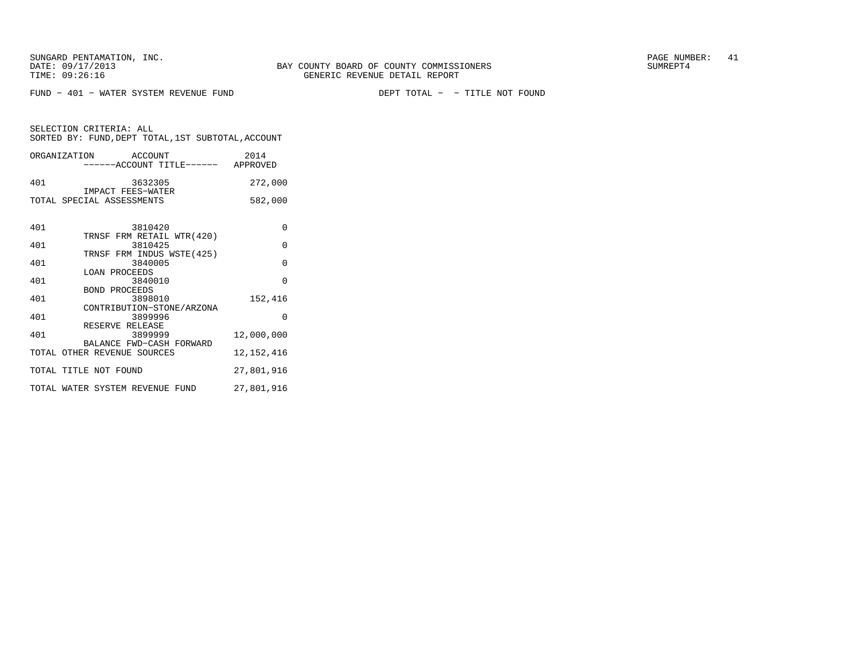FUND − 401 − WATER SYSTEM REVENUE FUND DEPT TOTAL − − TITLE NOT FOUND

SELECTION CRITERIA: ALLSORTED BY: FUND,DEPT TOTAL,1ST SUBTOTAL,ACCOUNT

| ORGANIZATION | ACCOUNT<br>------ACCOUNT TITLE------                    | 2014<br>APPROVED |
|--------------|---------------------------------------------------------|------------------|
| 401          | 3632305<br>IMPACT FEES-WATER                            | 272,000          |
|              | TOTAL SPECIAL ASSESSMENTS                               | 582,000          |
| 401          | 3810420                                                 | $\Omega$         |
| 401          | TRNSF FRM RETAIL WTR(420)<br>3810425                    | $\Omega$         |
| 401          | TRNSF FRM INDUS WSTE (425)<br>3840005                   | $\Omega$         |
| 401          | LOAN PROCEEDS<br>3840010                                | $\Omega$         |
| 401          | <b>BOND PROCEEDS</b><br>3898010                         | 152,416          |
| 401          | CONTRIBUTION-STONE/ARZONA<br>3899996                    | $\Omega$         |
| 401          | RESERVE RELEASE<br>3899999                              | 12,000,000       |
|              | BALANCE FWD-CASH FORWARD<br>TOTAL OTHER REVENUE SOURCES | 12,152,416       |

TOTAL TITLE NOT FOUND 27,801,916 TOTAL WATER SYSTEM REVENUE FUND 27,801,916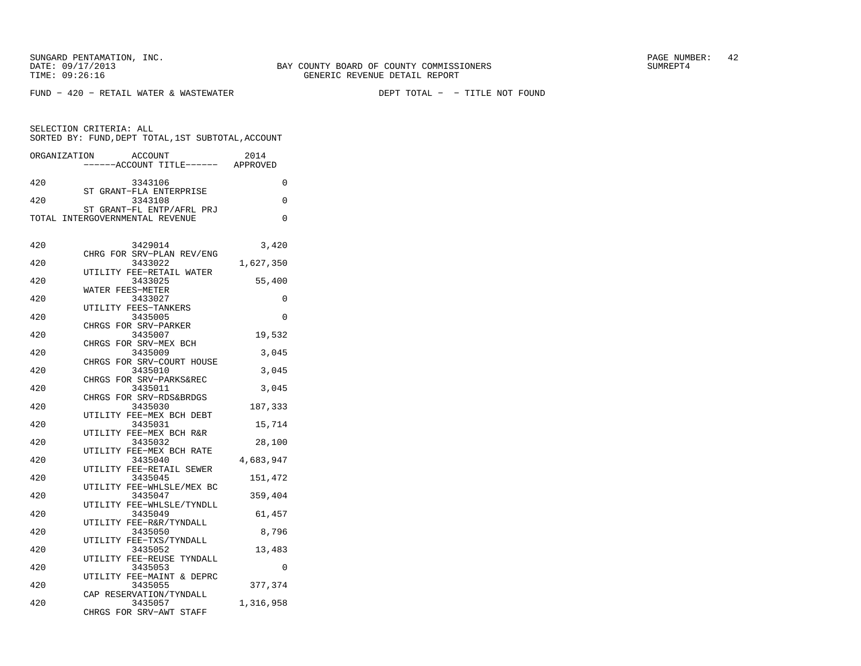SUNGARD PENTAMATION, INC.  $^{12}$ 

FUND − 420 − RETAIL WATER & WASTEWATER DEPT TOTAL − − TITLE NOT FOUND

SELECTION CRITERIA: ALL SORTED BY: FUND,DEPT TOTAL,1ST SUBTOTAL,ACCOUNTORGANIZATION ACCOUNT 2014 −−−−−−ACCOUNT TITLE−−−−−− APPROVED420 3343106 0 ST GRANT−FLA ENTERPRISE420 3343108 0 ST GRANT−FL ENTP/AFRL PRJTOTAL INTERGOVERNMENTAL REVENUE 0 420 3429014 3,420 CHRG FOR SRV−PLAN REV/ENG 420 3433022 1,627,350 UTILITY FEE−RETAIL WATER 420 3433025 55,400 WATER FEES−METER 420 3433027 0 UTILITY FEES−TANKERS420 3435005 0 CHRGS FOR SRV−PARKER420 3435007 19,532 CHRGS FOR SRV−MEX BCH420 3435009 3,045 CHRGS FOR SRV−COURT HOUSE420 3435010 3,045 CHRGS FOR SRV−PARKS&REC420 3435011 3,045 CHRGS FOR SRV−RDS&BRDGS420 3435030 187,333 UTILITY FEE−MEX BCH DEBT420 3435031 15,714 UTILITY FEE−MEX BCH R&R420 3435032 28,100 UTILITY FEE−MEX BCH RATE420 3435040 4,683,947 UTILITY FEE−RETAIL SEWER420 3435045 151,472 UTILITY FEE−WHLSLE/MEX BC420 3435047 359,404 UTILITY FEE−WHLSLE/TYNDLL420 3435049 61,457 UTILITY FEE−R&R/TYNDALL420 3435050 8,796 UTILITY FEE−TXS/TYNDALL420 3435052 13,483 UTILITY FEE−REUSE TYNDALL420 3435053 0 UTILITY FEE−MAINT & DEPRC420 3435055 377,374 CAP RESERVATION/TYNDALL420 3435057 1,316,958 CHRGS FOR SRV−AWT STAFF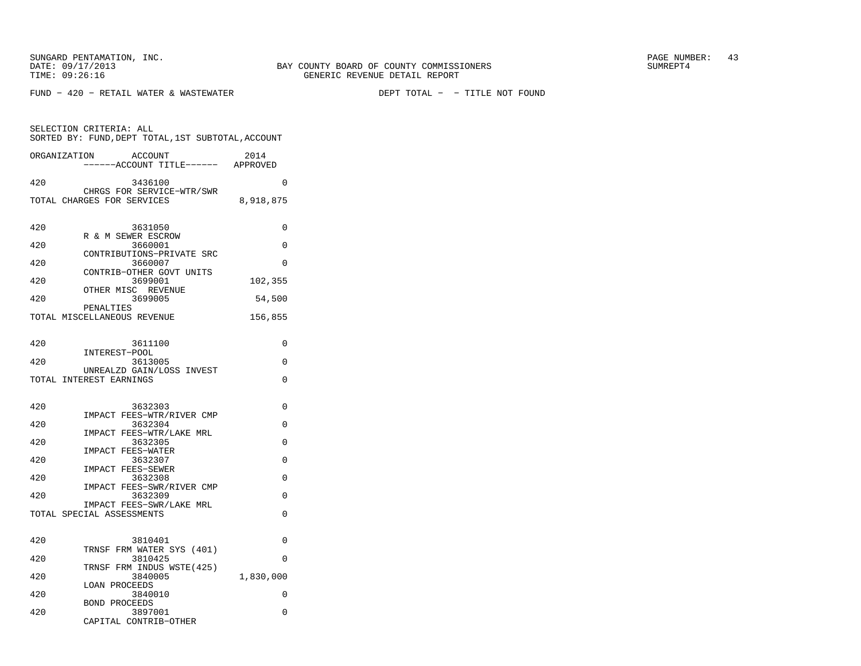SUNGARD PENTAMATION, INC.  $^{9}$  and  $^{9}$  and  $^{9}$  and  $^{9}$  and  $^{9}$  and  $^{9}$  and  $^{9}$  and  $^{9}$  and  $^{9}$  and  $^{9}$  and  $^{9}$  and  $^{9}$  and  $^{9}$  and  $^{9}$  and  $^{9}$  and  $^{9}$  and  $^{9}$  and  $^{9}$  and  $^{9}$  and  $^{9}$ 

SELECTION CRITERIA: ALL

FUND − 420 − RETAIL WATER & WASTEWATER DEPT TOTAL − − TITLE NOT FOUND

 SORTED BY: FUND,DEPT TOTAL,1ST SUBTOTAL,ACCOUNTORGANIZATION ACCOUNT 2014

 −−−−−−ACCOUNT TITLE−−−−−− APPROVED420 3436100 0 CHRGS FOR SERVICE−WTR/SWR TOTAL CHARGES FOR SERVICES 8,918,875 420 3631050 0 R & M SEWER ESCROW<br>2660001 420 3660001 0 CONTRIBUTIONS−PRIVATE SRC 420 3660007 0 CONTRIB−OTHER GOVT UNITS 420 3699001 102,355 OTHER MISC REVENUE 420 3699005 54,500 PENALTIES TOTAL MISCELLANEOUS REVENUE 156,855 420 3611100 0 INTEREST−POOL 420 3613005 0 UNREALZD GAIN/LOSS INVESTTOTAL INTEREST EARNINGS 0 420 3632303 0 IMPACT FEES−WTR/RIVER CMP420 3632304 0 IMPACT FEES−WTR/LAKE MRL 420 3632305 0 IMPACT FEES−WATER 420 3632307 0 IMPACT FEES−SEWER 420 3632308 0 IMPACT FEES−SWR/RIVER CMP 420 3632309 0 IMPACT FEES−SWR/LAKE MRLTOTAL SPECIAL ASSESSMENTS 0 420 3810401 0 TRNSF FRM WATER SYS (401)420 3810425 0 TRNSF FRM INDUS WSTE(425) 420 3840005 1,830,000 LOAN PROCEEDS 420 3840010 0 BOND PROCEEDS 420 3897001 0 CAPITAL CONTRIB−OTHER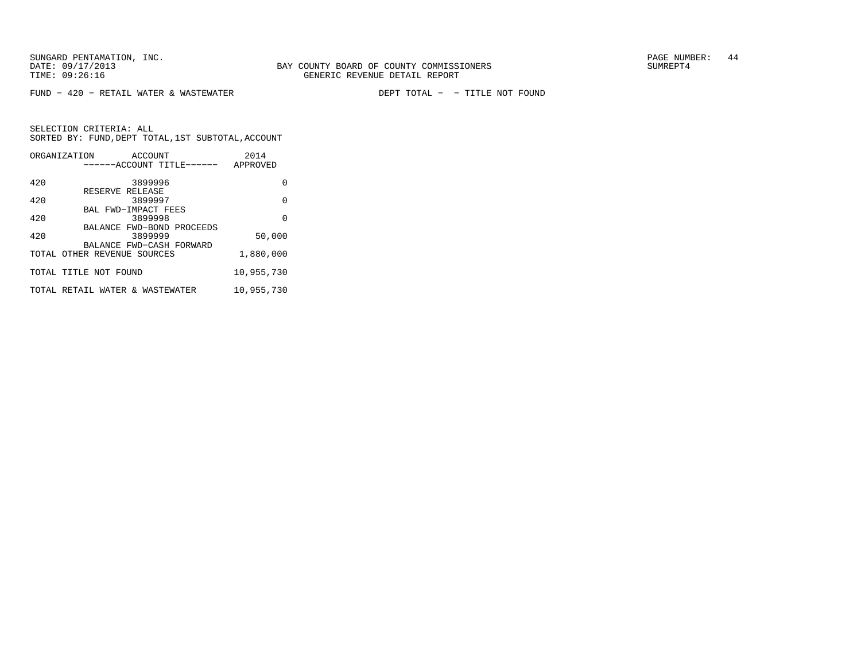SUNGARD PENTAMATION, INC.<br>
BAY COUNTY BOARD OF COUNTY COMMISSIONERS AND SUNREPT4 SUMREPT4

FUND − 420 − RETAIL WATER & WASTEWATER DEPT TOTAL − − TITLE NOT FOUND

| ORGANIZATION                    | ACCOUNT                        | ------ACCOUNT TITLE------ | 2014<br>APPROVED |
|---------------------------------|--------------------------------|---------------------------|------------------|
| 420                             | 3899996                        |                           | 0                |
| 420                             | RESERVE RELEASE<br>3899997     |                           | $\Omega$         |
| 420                             | BAL FWD-IMPACT FEES<br>3899998 |                           | $\Omega$         |
| 420                             | 3899999                        | BALANCE FWD-BOND PROCEEDS | 50,000           |
| TOTAL OTHER REVENUE SOURCES     | BALANCE FWD-CASH FORWARD       |                           | 1,880,000        |
| TOTAL TITLE NOT FOUND           |                                |                           | 10,955,730       |
| TOTAL RETAIL WATER & WASTEWATER |                                |                           | 10,955,730       |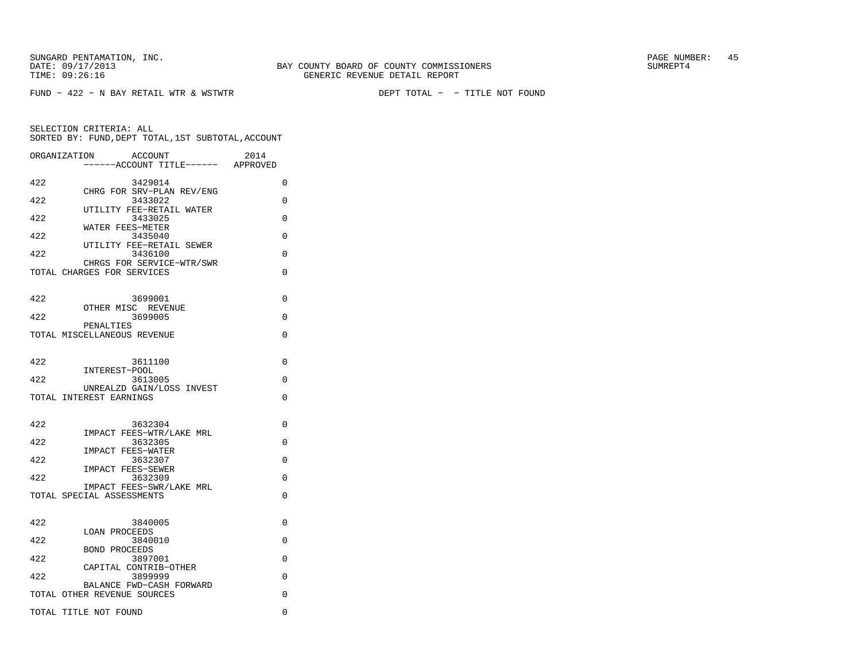FUND − 422 − N BAY RETAIL WTR & WSTWTR DEPT TOTAL − − TITLE NOT FOUND

| ORGANIZATION | ACCOUNT<br>----ACCOUNT TITLE------ APPROVED | 2014     |
|--------------|---------------------------------------------|----------|
|              |                                             |          |
| 422          | 3429014                                     | 0        |
|              | CHRG FOR SRV-PLAN REV/ENG                   |          |
| 422          | 3433022                                     | 0        |
| 422          | UTILITY FEE-RETAIL WATER<br>3433025         | $\Omega$ |
|              | WATER FEES-METER                            |          |
| 422          | 3435040                                     | 0        |
|              | UTILITY FEE-RETAIL SEWER                    |          |
| 422          | 3436100                                     | $\Omega$ |
|              | CHRGS FOR SERVICE-WTR/SWR                   |          |
|              | TOTAL CHARGES FOR SERVICES                  | $\Omega$ |
|              |                                             |          |
| 422          |                                             | 0        |
|              | 3699001<br>OTHER MISC REVENUE               |          |
| 422          | 3699005                                     | $\Omega$ |
|              | PENALTIES                                   |          |
|              | TOTAL MISCELLANEOUS REVENUE                 | 0        |
|              |                                             |          |
|              |                                             |          |
| 422          | 3611100                                     | 0        |
| 422          | INTEREST-POOL<br>3613005                    | 0        |
|              | UNREALZD GAIN/LOSS INVEST                   |          |
|              | TOTAL INTEREST EARNINGS                     | $\Omega$ |
|              |                                             |          |
|              |                                             |          |
| 422          | 3632304                                     | 0        |
|              | IMPACT FEES-WTR/LAKE MRL                    |          |
| 422          | 3632305                                     | $\Omega$ |
| 422          | IMPACT FEES-WATER<br>3632307                | 0        |
|              | <b>IMPACT FEES-SEWER</b>                    |          |
| 422          | 3632309                                     | 0        |
|              | IMPACT FEES-SWR/LAKE MRL                    |          |
|              | TOTAL SPECIAL ASSESSMENTS                   | 0        |
|              |                                             |          |
|              |                                             |          |
| 422          | 3840005<br><b>LOAN PROCEEDS</b>             | $\Omega$ |
| 422          | 3840010                                     | 0        |
|              | <b>BOND PROCEEDS</b>                        |          |
| 422          | 3897001                                     | 0        |
|              | CAPITAL CONTRIB-OTHER                       |          |
| 422          | 3899999                                     | 0        |
|              | BALANCE FWD-CASH FORWARD                    |          |
|              | TOTAL OTHER REVENUE SOURCES                 | 0        |
|              | TOTAL TITLE NOT FOUND                       | $\Omega$ |
|              |                                             |          |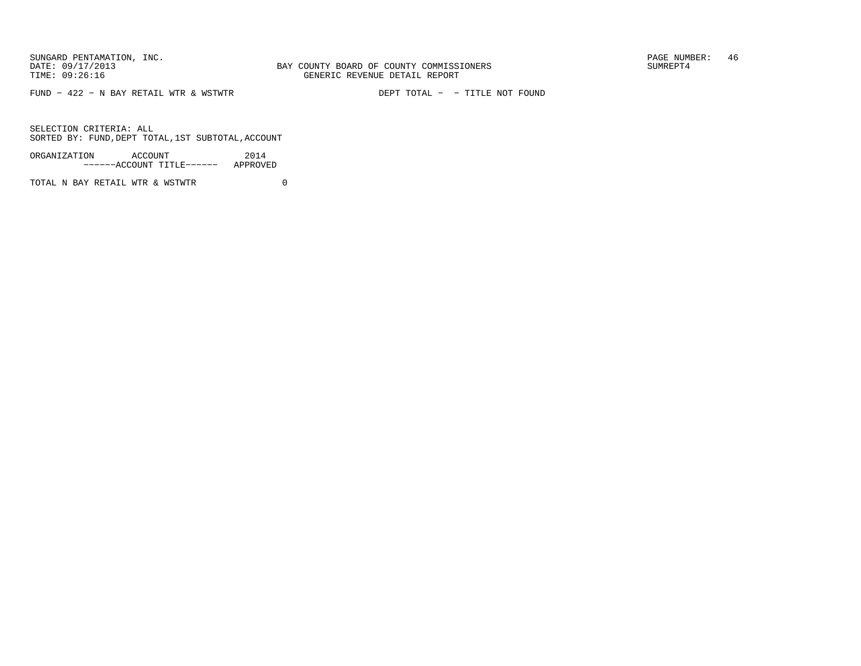FUND − 422 − N BAY RETAIL WTR & WSTWTR DEPT TOTAL − − TITLE NOT FOUND

SELECTION CRITERIA: ALLSORTED BY: FUND,DEPT TOTAL,1ST SUBTOTAL,ACCOUNT

ORGANIZATION ACCOUNT 2014−−−−−−ACCOUNT TITLE−−−−−− APPROVED

TOTAL N BAY RETAIL WTR & WSTWTR  $0$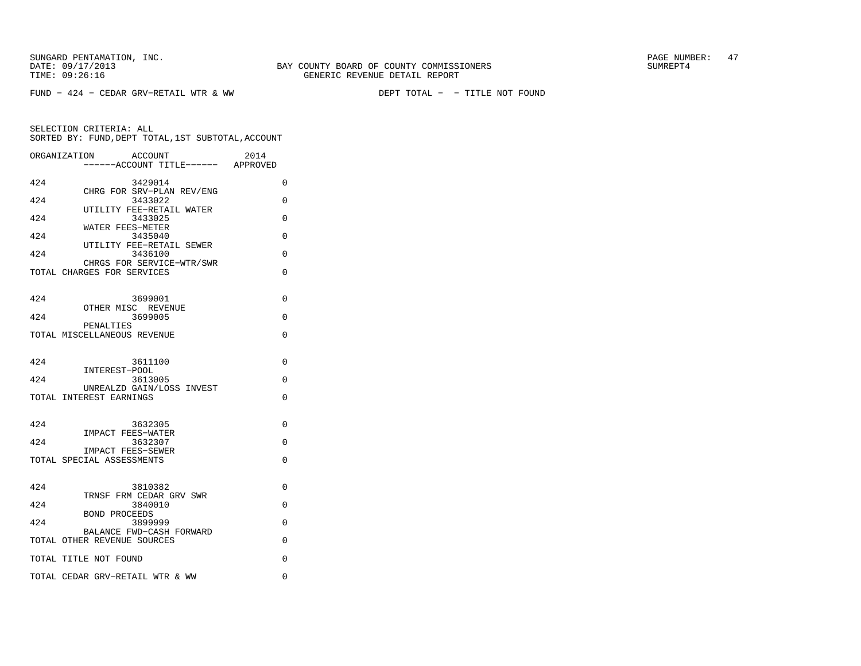FUND − 424 − CEDAR GRV−RETAIL WTR & WW DEPT TOTAL − − TITLE NOT FOUND

|     | ORGANIZATION<br><b>ACCOUNT</b><br>-----ACCOUNT TITLE------ APPROVED | 2014     |
|-----|---------------------------------------------------------------------|----------|
| 424 | 3429014                                                             | $\Omega$ |
| 424 | CHRG FOR SRV-PLAN REV/ENG<br>3433022                                | 0        |
| 424 | UTILITY FEE-RETAIL WATER<br>3433025                                 | $\Omega$ |
| 424 | WATER FEES-METER<br>3435040                                         | $\Omega$ |
| 424 | UTILITY FEE-RETAIL SEWER<br>3436100                                 | 0        |
|     | CHRGS FOR SERVICE-WTR/SWR<br>TOTAL CHARGES FOR SERVICES             | $\Omega$ |
| 424 | 3699001                                                             | $\Omega$ |
| 424 | OTHER MISC REVENUE<br>3699005                                       | $\Omega$ |
|     | PENALTIES<br>TOTAL MISCELLANEOUS REVENUE                            | $\Omega$ |
| 424 | 3611100<br>INTEREST-POOL                                            | $\Omega$ |
| 424 | 3613005                                                             | $\Omega$ |
|     | UNREALZD GAIN/LOSS INVEST<br>TOTAL INTEREST EARNINGS                | $\Omega$ |
| 424 | 3632305                                                             | 0        |
| 424 | <b>IMPACT FEES-WATER</b><br>3632307                                 | $\Omega$ |
|     | IMPACT FEES-SEWER<br>TOTAL SPECIAL ASSESSMENTS                      | $\Omega$ |
| 424 | 3810382<br>TRNSF FRM CEDAR GRV SWR                                  | $\Omega$ |
| 424 | 3840010                                                             | $\Omega$ |
| 424 | <b>BOND PROCEEDS</b><br>3899999                                     | 0        |
|     | BALANCE FWD-CASH FORWARD<br>TOTAL OTHER REVENUE SOURCES             | $\Omega$ |
|     | TOTAL TITLE NOT FOUND                                               | $\Omega$ |
|     | TOTAL CEDAR GRV-RETAIL WTR & WW                                     | 0        |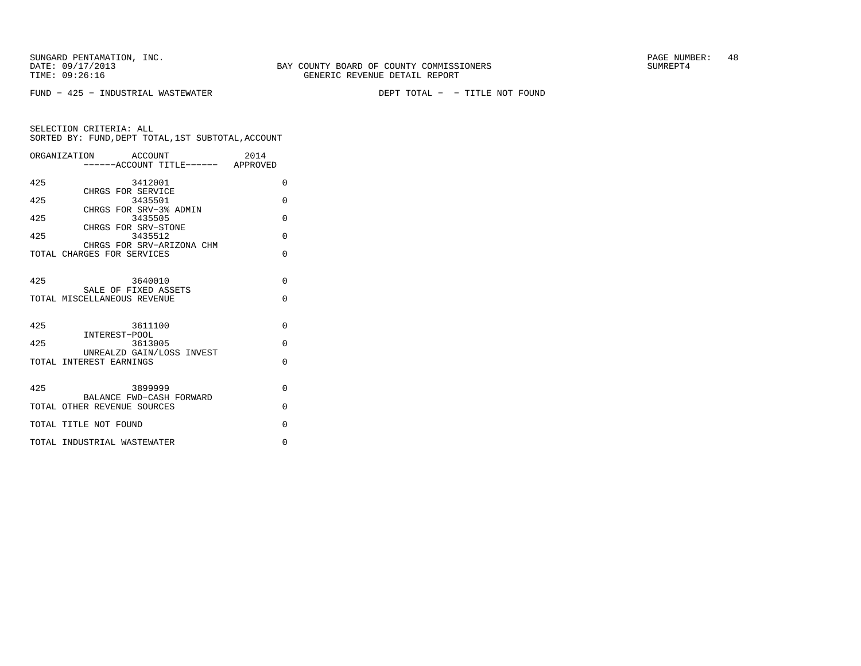FUND − 425 − INDUSTRIAL WASTEWATER DEPT TOTAL − − TITLE NOT FOUND

|                                                                   | 2014                                                                                                                                                                                                                                                                                                                                                                                                                        |                                   |
|-------------------------------------------------------------------|-----------------------------------------------------------------------------------------------------------------------------------------------------------------------------------------------------------------------------------------------------------------------------------------------------------------------------------------------------------------------------------------------------------------------------|-----------------------------------|
|                                                                   |                                                                                                                                                                                                                                                                                                                                                                                                                             |                                   |
|                                                                   |                                                                                                                                                                                                                                                                                                                                                                                                                             | $\Omega$                          |
|                                                                   |                                                                                                                                                                                                                                                                                                                                                                                                                             |                                   |
|                                                                   |                                                                                                                                                                                                                                                                                                                                                                                                                             | $\Omega$                          |
|                                                                   |                                                                                                                                                                                                                                                                                                                                                                                                                             |                                   |
|                                                                   |                                                                                                                                                                                                                                                                                                                                                                                                                             | $\Omega$                          |
|                                                                   |                                                                                                                                                                                                                                                                                                                                                                                                                             | $\Omega$                          |
|                                                                   |                                                                                                                                                                                                                                                                                                                                                                                                                             |                                   |
|                                                                   |                                                                                                                                                                                                                                                                                                                                                                                                                             | $\Omega$                          |
|                                                                   |                                                                                                                                                                                                                                                                                                                                                                                                                             |                                   |
|                                                                   |                                                                                                                                                                                                                                                                                                                                                                                                                             | $\Omega$                          |
|                                                                   |                                                                                                                                                                                                                                                                                                                                                                                                                             |                                   |
|                                                                   |                                                                                                                                                                                                                                                                                                                                                                                                                             | $\Omega$                          |
|                                                                   |                                                                                                                                                                                                                                                                                                                                                                                                                             |                                   |
|                                                                   |                                                                                                                                                                                                                                                                                                                                                                                                                             |                                   |
|                                                                   |                                                                                                                                                                                                                                                                                                                                                                                                                             | $\Omega$                          |
|                                                                   |                                                                                                                                                                                                                                                                                                                                                                                                                             | $\Omega$                          |
|                                                                   |                                                                                                                                                                                                                                                                                                                                                                                                                             |                                   |
|                                                                   |                                                                                                                                                                                                                                                                                                                                                                                                                             | $\Omega$                          |
|                                                                   |                                                                                                                                                                                                                                                                                                                                                                                                                             |                                   |
|                                                                   |                                                                                                                                                                                                                                                                                                                                                                                                                             | $\Omega$                          |
|                                                                   |                                                                                                                                                                                                                                                                                                                                                                                                                             |                                   |
|                                                                   |                                                                                                                                                                                                                                                                                                                                                                                                                             | $\Omega$                          |
|                                                                   |                                                                                                                                                                                                                                                                                                                                                                                                                             |                                   |
|                                                                   |                                                                                                                                                                                                                                                                                                                                                                                                                             | $\Omega$                          |
|                                                                   |                                                                                                                                                                                                                                                                                                                                                                                                                             | $\Omega$                          |
| INTEREST-POOL<br>TOTAL INTEREST EARNINGS<br>TOTAL TITLE NOT FOUND | ORGANIZATION ACCOUNT<br>3412001<br>CHRGS FOR SERVICE<br>3435501<br>CHRGS FOR SRV-3% ADMIN<br>3435505<br>CHRGS FOR SRV-STONE<br>3435512<br>CHRGS FOR SRV-ARIZONA CHM<br>TOTAL CHARGES FOR SERVICES<br>3640010<br>SALE OF FIXED ASSETS<br>TOTAL MISCELLANEOUS REVENUE<br>3611100<br>3613005<br>UNREALZD GAIN/LOSS INVEST<br>3899999<br>BALANCE FWD-CASH FORWARD<br>TOTAL OTHER REVENUE SOURCES<br>TOTAL INDUSTRIAL WASTEWATER | -----ACCOUNT TITLE------ APPROVED |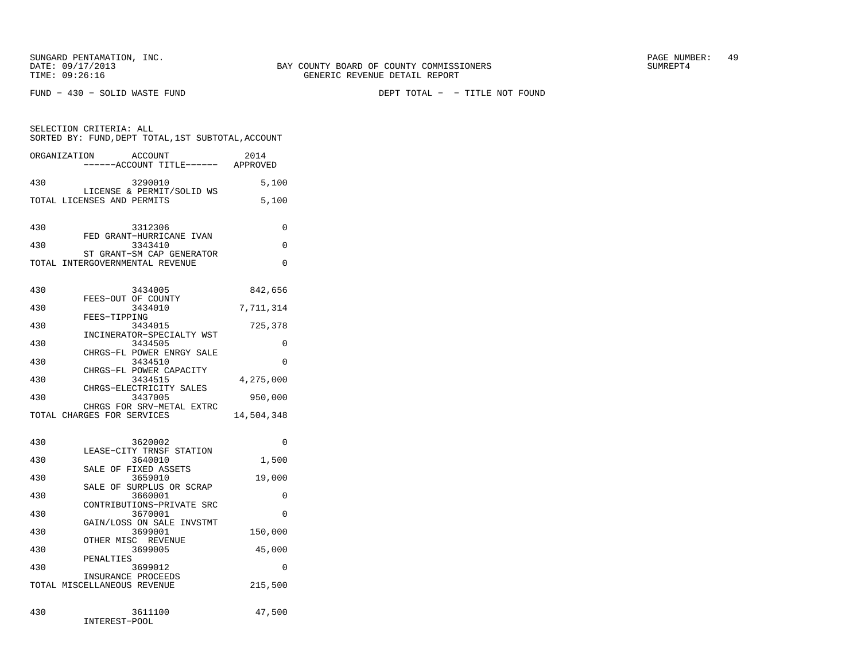FUND − 430 − SOLID WASTE FUND DEPT TOTAL − − TITLE NOT FOUND

|              | SELECTION CRITERIA: ALL<br>SORTED BY: FUND, DEPT TOTAL, 1ST SUBTOTAL, ACCOUNT |            |
|--------------|-------------------------------------------------------------------------------|------------|
| ORGANIZATION | ACCOUNT<br>-----ACCOUNT TITLE------ APPROVED                                  | 2014       |
| 430          | 3290010                                                                       | 5,100      |
|              | LICENSE & PERMIT/SOLID WS<br>TOTAL LICENSES AND PERMITS                       | 5,100      |
| 430          | 3312306                                                                       | 0          |
| 430          | FED GRANT-HURRICANE IVAN<br>3343410                                           | $\Omega$   |
|              | ST GRANT-SM CAP GENERATOR<br>TOTAL INTERGOVERNMENTAL REVENUE                  | $\Omega$   |
| 430          | 3434005                                                                       | 842,656    |
| 430          | FEES-OUT OF COUNTY<br>3434010                                                 | 7,711,314  |
| 430          | FEES-TIPPING<br>3434015                                                       | 725,378    |
| 430          | INCINERATOR-SPECIALTY WST<br>3434505                                          | $\Omega$   |
| 430          | CHRGS-FL POWER ENRGY SALE<br>3434510                                          | $\Omega$   |
| 430          | CHRGS-FL POWER CAPACITY<br>3434515                                            | 4,275,000  |
| 430          | CHRGS-ELECTRICITY SALES<br>3437005                                            | 950,000    |
|              | CHRGS FOR SRV-METAL EXTRC<br>TOTAL CHARGES FOR SERVICES                       | 14,504,348 |
| 430          | 3620002                                                                       | $\Omega$   |
| 430          | LEASE-CITY TRNSF STATION<br>3640010                                           | 1,500      |
| 430          | SALE OF FIXED ASSETS<br>3659010                                               | 19,000     |
| 430          | SALE OF SURPLUS OR SCRAP<br>3660001                                           | $\Omega$   |
| 430          | CONTRIBUTIONS-PRIVATE SRC                                                     | $\Omega$   |
|              | 3670001<br>GAIN/LOSS ON SALE INVSTMT                                          |            |
| 430          | 3699001<br>OTHER MISC REVENUE                                                 | 150,000    |
| 430          | 3699005<br>PENALTIES                                                          | 45,000     |
| 430          | 3699012<br>INSURANCE PROCEEDS                                                 | $\Omega$   |
|              | TOTAL MISCELLANEOUS REVENUE                                                   | 215,500    |
| 430          | 3611100                                                                       | 47,500     |

INTEREST−POOL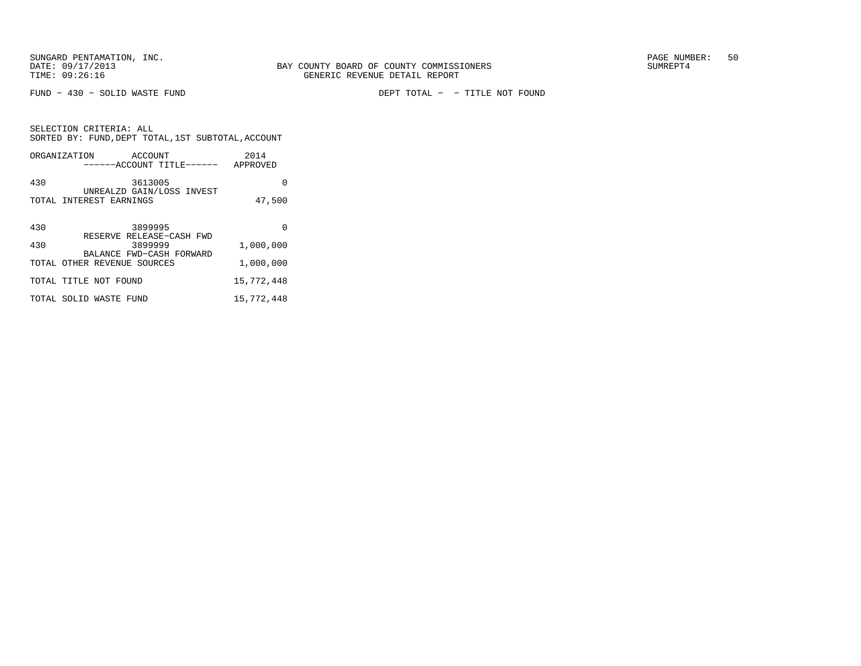SELECTION CRITERIA: ALL

FUND − 430 − SOLID WASTE FUND DEPT TOTAL − − TITLE NOT FOUND

| SORTED BY: FUND, DEPT TOTAL, 1ST SUBTOTAL, ACCOUNT         |            |
|------------------------------------------------------------|------------|
| ORGANIZATION ACCOUNT<br>------ACCOUNT TITLE------ APPROVED | 2014       |
| 430<br>3613005                                             | 0          |
| UNREALZD GAIN/LOSS INVEST<br>TOTAL INTEREST EARNINGS       | 47,500     |
| 430<br>3899995                                             | $\Omega$   |
| RESERVE RELEASE-CASH FWD<br>430<br>3899999                 | 1,000,000  |
| BALANCE FWD-CASH FORWARD<br>TOTAL OTHER REVENUE SOURCES    | 1,000,000  |
| TOTAL TITLE NOT FOUND                                      | 15,772,448 |
| TOTAL SOLID WASTE FUND                                     | 15,772,448 |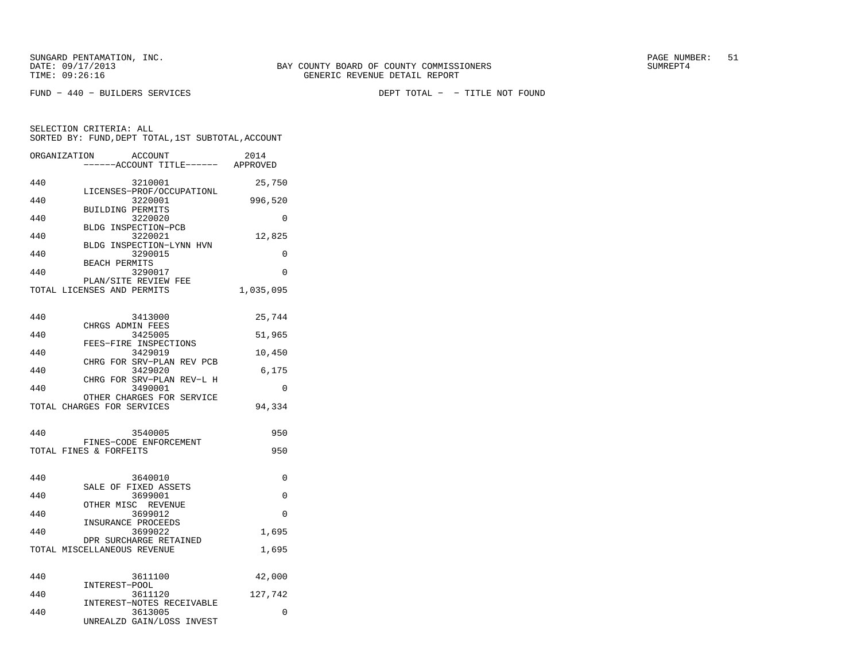SELECTION CRITERIA: ALL

FUND − 440 − BUILDERS SERVICES DEPT TOTAL − − TITLE NOT FOUND

 −−−−−−ACCOUNT TITLE−−−−−− APPROVED440 3210001 25,750 LICENSES−PROF/OCCUPATIONL440 3220001 996,520 BUILDING PERMITS 440 3220020 0 BLDG INSPECTION−PCB 440 3220021 12,825 BLDG INSPECTION−LYNN HVN 440 3290015 0 BEACH PERMITS 440 3290017 0 PLAN/SITE REVIEW FEETOTAL LICENSES AND PERMITS 1,035,095

 SORTED BY: FUND,DEPT TOTAL,1ST SUBTOTAL,ACCOUNTORGANIZATION ACCOUNT 2014

| 440 | 3413000                              | 25,744   |
|-----|--------------------------------------|----------|
| 440 | CHRGS ADMIN FEES<br>3425005          | 51,965   |
| 440 | FEES-FIRE INSPECTIONS<br>3429019     | 10,450   |
| 440 | CHRG FOR SRV-PLAN REV PCB<br>3429020 | 6,175    |
|     | CHRG FOR SRV-PLAN REV-L H            |          |
| 440 | 3490001<br>OTHER CHARGES FOR SERVICE | $\Omega$ |
|     | TOTAL CHARGES FOR SERVICES           | 94,334   |
|     |                                      |          |
| 440 | 3540005<br>FINES-CODE ENFORCEMENT    | 950      |
|     | TOTAL FINES & FORFEITS               | 950      |
|     |                                      |          |
| 440 | 3640010<br>SALE OF FIXED ASSETS      | $\Omega$ |
| 440 | 3699001                              | $\Omega$ |
| 440 | OTHER MISC REVENUE<br>3699012        | $\Omega$ |
|     | INSURANCE PROCEEDS                   |          |
| 440 | 3699022<br>DPR SURCHARGE RETAINED    | 1,695    |
|     | TOTAL MISCELLANEOUS REVENUE          | 1,695    |
|     |                                      |          |
| 440 | 3611100<br>INTEREST-POOL             | 42,000   |
| 440 | 3611120                              | 127,742  |
|     | INTEREST-NOTES RECEIVABLE            |          |
| 440 | 3613005                              | $\Omega$ |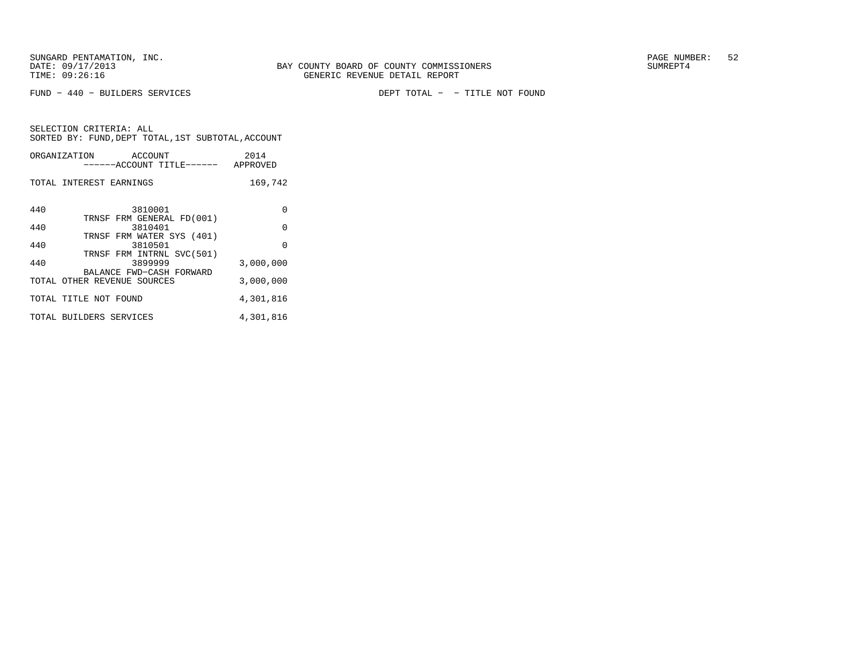FUND − 440 − BUILDERS SERVICES DEPT TOTAL − − TITLE NOT FOUND

|     | ORGANIZATION<br>ACCOUNT<br>------ACCOUNT TITLE------ APPROVED     | 2014      |
|-----|-------------------------------------------------------------------|-----------|
|     | TOTAL INTEREST EARNINGS                                           | 169,742   |
| 440 | 3810001<br>TRNSF FRM GENERAL FD(001)                              | $\Omega$  |
| 440 | 3810401                                                           | $\Omega$  |
| 440 | TRNSF FRM WATER SYS (401)<br>3810501<br>TRNSF FRM INTRNL SVC(501) | $\Omega$  |
| 440 | 3899999                                                           | 3,000,000 |
|     | BALANCE FWD-CASH FORWARD<br>TOTAL OTHER REVENUE SOURCES           | 3,000,000 |
|     | TOTAL TITLE NOT FOUND                                             | 4,301,816 |
|     | TOTAL BUILDERS SERVICES                                           | 4,301,816 |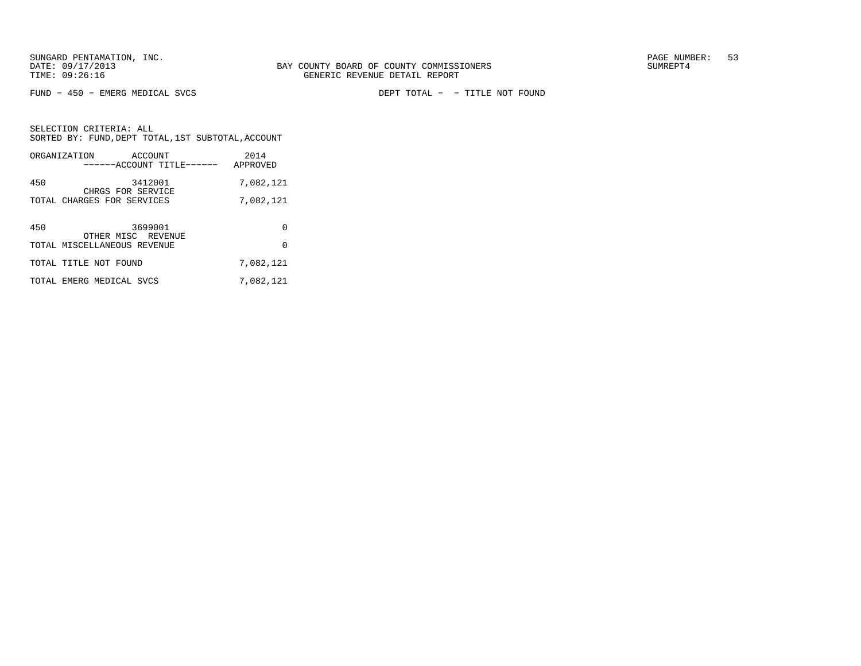FUND − 450 − EMERG MEDICAL SVCS DEPT TOTAL − − TITLE NOT FOUND

SELECTION CRITERIA: ALL SORTED BY: FUND,DEPT TOTAL,1ST SUBTOTAL,ACCOUNTORGANIZATION ACCOUNT 2014

|     | ------ACCOUNT TITLE------                         | APPROVED  |
|-----|---------------------------------------------------|-----------|
| 450 | 3412001<br>CHRGS FOR SERVICE                      | 7,082,121 |
|     | TOTAL CHARGES FOR SERVICES                        | 7,082,121 |
| 450 | 3699001                                           | 0         |
|     | OTHER MISC REVENUE<br>TOTAL MISCELLANEOUS REVENUE | 0         |
|     | TOTAL TITLE NOT FOUND                             | 7,082,121 |
|     | TOTAL EMERG MEDICAL SVCS                          | 7,082,121 |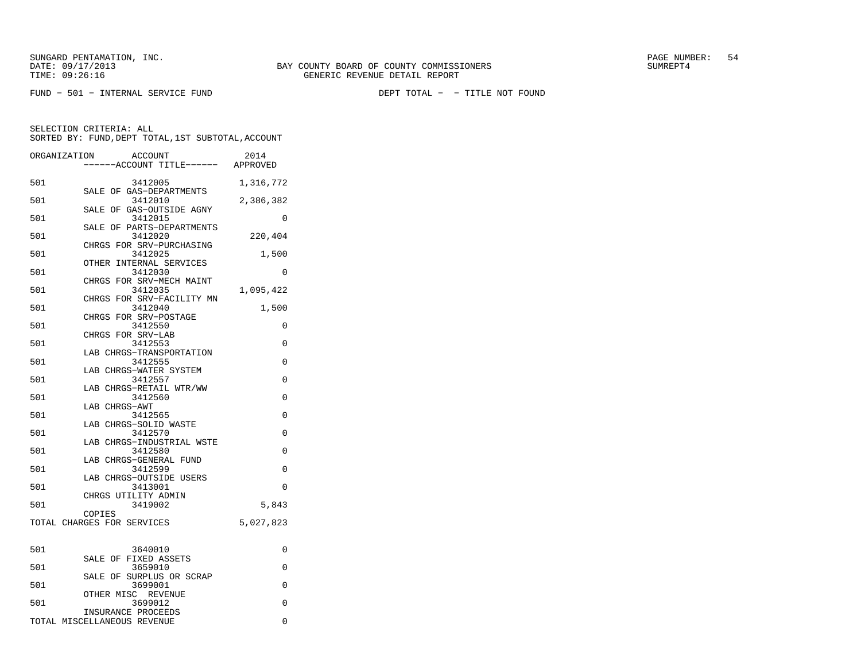FUND − 501 − INTERNAL SERVICE FUND DEPT TOTAL − − TITLE NOT FOUND

SELECTION CRITERIA: ALLSORTED BY: FUND,DEPT TOTAL,1ST SUBTOTAL,ACCOUNT

| ORGANIZATION<br>ACCOUNT<br>2014<br>----ACCOUNT TITLE------ APPROVED |          |
|---------------------------------------------------------------------|----------|
| 501<br>3412005<br>1,316,772                                         |          |
| SALE OF GAS-DEPARTMENTS<br>501<br>3412010<br>2,386,382              |          |
| SALE OF GAS-OUTSIDE AGNY<br>501<br>3412015                          | 0        |
| SALE OF PARTS-DEPARTMENTS<br>501<br>3412020<br>220,404              |          |
| CHRGS FOR SRV-PURCHASING<br>501<br>3412025                          | 1,500    |
| OTHER INTERNAL SERVICES<br>501<br>3412030                           | $\Omega$ |
| CHRGS FOR SRV-MECH MAINT<br>501<br>3412035<br>1,095,422             |          |
| CHRGS FOR SRV-FACILITY MN                                           |          |
| 501<br>3412040<br>CHRGS FOR SRV-POSTAGE                             | 1,500    |
| 501<br>3412550<br>CHRGS FOR SRV-LAB                                 | 0        |
| 501<br>3412553<br>LAB CHRGS-TRANSPORTATION                          | 0        |
| 501<br>3412555                                                      | 0        |
| LAB CHRGS-WATER SYSTEM<br>501<br>3412557                            | $\Omega$ |
| LAB CHRGS-RETAIL WTR/WW<br>501<br>3412560                           | 0        |
| LAB CHRGS-AWT<br>501<br>3412565                                     | 0        |
| LAB CHRGS-SOLID WASTE<br>501<br>3412570                             | 0        |
| LAB CHRGS-INDUSTRIAL WSTE                                           |          |
| 501<br>3412580<br>LAB CHRGS-GENERAL FUND                            | $\Omega$ |
| 501<br>3412599<br>LAB CHRGS-OUTSIDE USERS                           | 0        |
| 501<br>3413001<br>CHRGS UTILITY ADMIN                               | $\Omega$ |
| 501<br>3419002<br>COPIES                                            | 5,843    |
| TOTAL CHARGES FOR SERVICES<br>5,027,823                             |          |
| 501<br>3640010                                                      | 0        |
| SALE OF FIXED ASSETS<br>501<br>3659010                              | $\Omega$ |
| SALE OF<br>SURPLUS OR SCRAP<br>501<br>3699001                       | $\Omega$ |
| OTHER MISC REVENUE<br>501<br>3699012<br>INSURANCE PROCEEDS          | $\Omega$ |

TOTAL MISCELLANEOUS REVENUE 0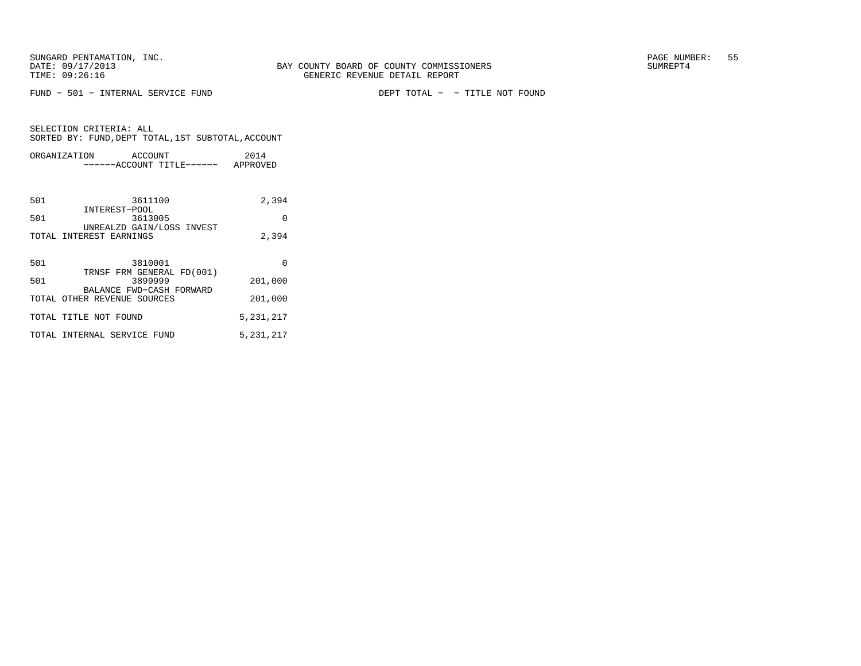FUND − 501 − INTERNAL SERVICE FUND DEPT TOTAL − − TITLE NOT FOUND

|     | ORGANIZATION<br>ACCOUNT                                 | 2014      |
|-----|---------------------------------------------------------|-----------|
|     | ------ACCOUNT TITLE------ APPROVED                      |           |
|     |                                                         |           |
| 501 | 3611100                                                 | 2,394     |
| 501 | INTEREST-POOL<br>3613005                                | $\Omega$  |
|     | UNREALZD GAIN/LOSS INVEST<br>TOTAL INTEREST EARNINGS    | 2,394     |
|     |                                                         |           |
| 501 | 3810001<br>TRNSF FRM GENERAL FD(001)                    | $\Omega$  |
| 501 | 3899999                                                 | 201,000   |
|     | BALANCE FWD-CASH FORWARD<br>TOTAL OTHER REVENUE SOURCES | 201,000   |
|     | TOTAL TITLE NOT FOUND                                   | 5,231,217 |
|     | TOTAL INTERNAL SERVICE FUND                             | 5,231,217 |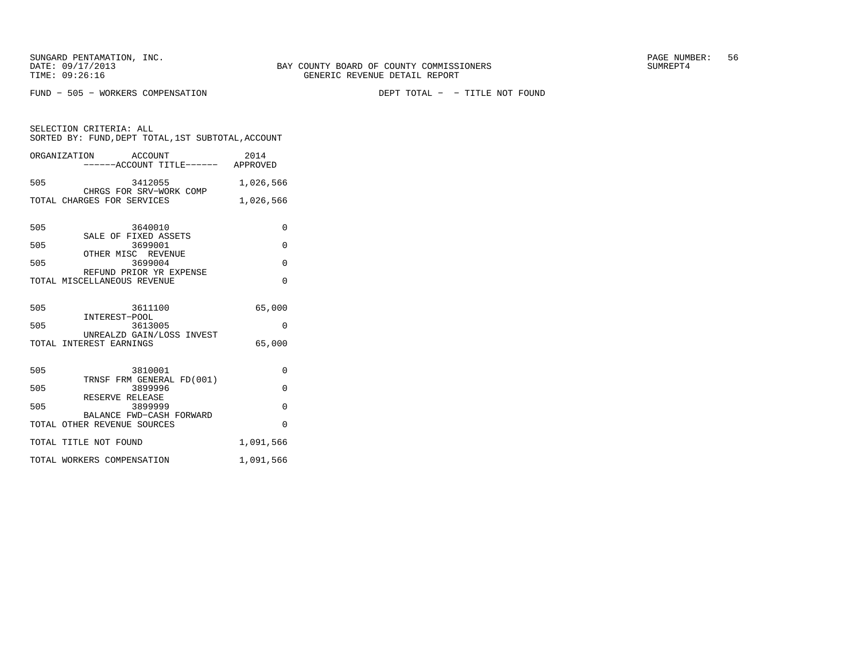FUND − 505 − WORKERS COMPENSATION DEPT TOTAL − − TITLE NOT FOUND

SELECTION CRITERIA: ALL SORTED BY: FUND,DEPT TOTAL,1ST SUBTOTAL,ACCOUNTORGANIZATION ACCOUNT 2014

|     | ------ACCOUNT TITLE------ APPROVED                     |           |
|-----|--------------------------------------------------------|-----------|
| 505 | 3412055<br>CHRGS FOR SRV-WORK COMP                     | 1,026,566 |
|     | TOTAL CHARGES FOR SERVICES                             | 1,026,566 |
|     |                                                        |           |
| 505 | 3640010<br>SALE OF FIXED ASSETS                        | 0         |
| 505 | 3699001                                                | $\Omega$  |
| 505 | OTHER MISC REVENUE<br>3699004                          | $\Omega$  |
|     | REFUND PRIOR YR EXPENSE<br>TOTAL MISCELLANEOUS REVENUE | $\Omega$  |
|     |                                                        |           |
| 505 | 3611100                                                | 65,000    |
| 505 | INTEREST-POOL<br>3613005                               | $\Omega$  |
|     | UNREALZD GAIN/LOSS INVEST                              |           |
|     | TOTAL INTEREST EARNINGS                                | 65,000    |
| 505 | 3810001                                                | $\Omega$  |
| 505 | TRNSF FRM GENERAL FD(001)<br>3899996                   | $\Omega$  |
| 505 | RESERVE RELEASE                                        |           |
|     | 3899999<br>BALANCE FWD-CASH FORWARD                    | $\Omega$  |
|     | TOTAL OTHER REVENUE SOURCES                            | $\Omega$  |
|     | TOTAL TITLE NOT FOUND                                  | 1,091,566 |
|     | TOTAL WORKERS COMPENSATION                             | 1,091,566 |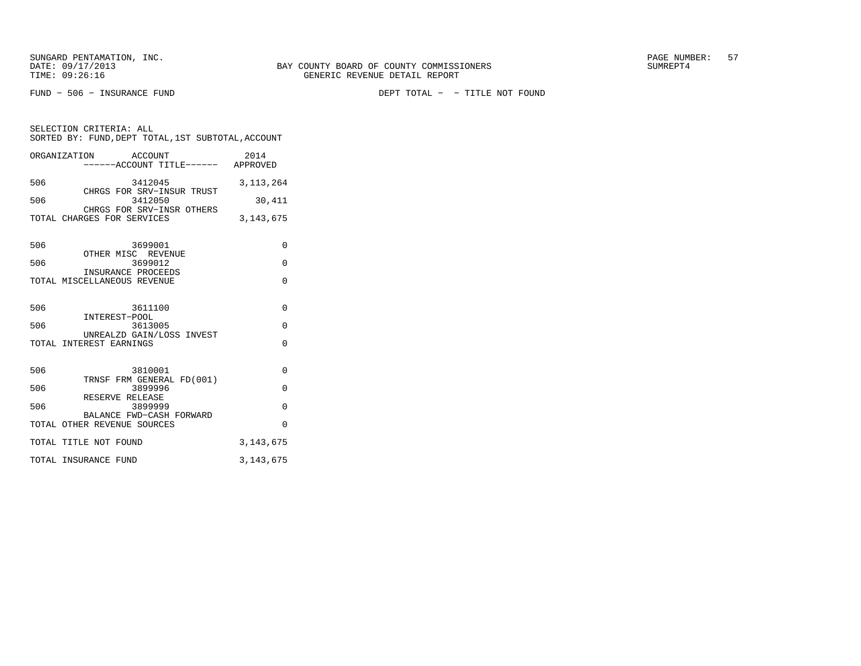SELECTION CRITERIA: ALL

FUND − 506 − INSURANCE FUND DEPT TOTAL − − TITLE NOT FOUND

|     | ORGANIZATION ACCOUNT<br>------ACCOUNT TITLE------ APPROVED | 2014        |
|-----|------------------------------------------------------------|-------------|
| 506 | 3412045<br>CHRGS FOR SRV-INSUR TRUST                       | 3, 113, 264 |
| 506 | 3412050<br>CHRGS FOR SRV-INSR OTHERS                       | 30,411      |
|     | TOTAL CHARGES FOR SERVICES                                 | 3, 143, 675 |
| 506 | 3699001                                                    | 0           |
| 506 | OTHER MISC REVENUE<br>3699012<br>INSURANCE PROCEEDS        | 0           |
|     | TOTAL MISCELLANEOUS REVENUE                                | $\Omega$    |
| 506 | 3611100                                                    | 0           |
| 506 | INTEREST-POOL<br>3613005                                   | 0           |
|     | UNREALZD GAIN/LOSS INVEST<br>TOTAL INTEREST EARNINGS       | $\Omega$    |
| 506 | 3810001                                                    | 0           |
| 506 | TRNSF FRM GENERAL FD(001)<br>3899996                       | $\Omega$    |
| 506 | RESERVE RELEASE<br>3899999<br>BALANCE FWD-CASH FORWARD     | $\Omega$    |
|     |                                                            |             |

 TOTAL OTHER REVENUE SOURCES 0 TOTAL TITLE NOT FOUND 3,143,675 TOTAL INSURANCE FUND 3,143,675

SORTED BY: FUND,DEPT TOTAL,1ST SUBTOTAL,ACCOUNT